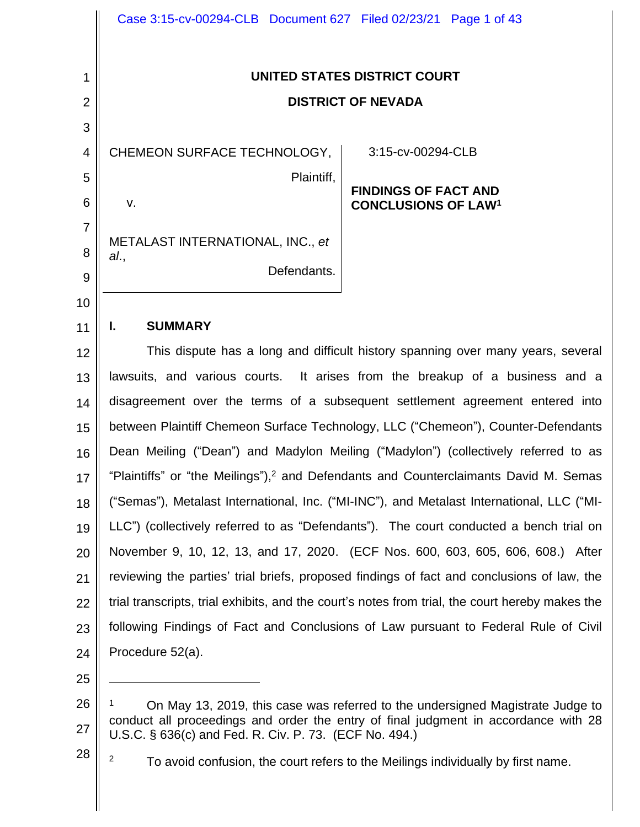|                | Case 3:15-cv-00294-CLB  Document 627  Filed 02/23/21  Page 1 of 43                               |
|----------------|--------------------------------------------------------------------------------------------------|
| 1              | UNITED STATES DISTRICT COURT                                                                     |
| $\overline{2}$ | <b>DISTRICT OF NEVADA</b>                                                                        |
| 3              |                                                                                                  |
| 4              | CHEMEON SURFACE TECHNOLOGY,  <br>3:15-cv-00294-CLB                                               |
| 5              | Plaintiff,                                                                                       |
| 6              | <b>FINDINGS OF FACT AND</b><br>V.<br><b>CONCLUSIONS OF LAW1</b>                                  |
| $\overline{7}$ |                                                                                                  |
| 8              | METALAST INTERNATIONAL, INC., et<br>al.,                                                         |
| 9              | Defendants.                                                                                      |
| 10             |                                                                                                  |
| 11             | <b>SUMMARY</b><br>Ъ.                                                                             |
| 12             | This dispute has a long and difficult history spanning over many years, several                  |
| 13             | lawsuits, and various courts. It arises from the breakup of a business and a                     |
| 14             | disagreement over the terms of a subsequent settlement agreement entered into                    |
| 15             | between Plaintiff Chemeon Surface Technology, LLC ("Chemeon"), Counter-Defendants                |
| 16             | Dean Meiling ("Dean") and Madylon Meiling ("Madylon") (collectively referred to as               |
| 17             | "Plaintiffs" or "the Meilings"), <sup>2</sup> and Defendants and Counterclaimants David M. Semas |
| 18             | ("Semas"), Metalast International, Inc. ("MI-INC"), and Metalast International, LLC ("MI-        |
| 19             | LLC") (collectively referred to as "Defendants"). The court conducted a bench trial on           |
| 20             | November 9, 10, 12, 13, and 17, 2020. (ECF Nos. 600, 603, 605, 606, 608.) After                  |
| 21             | reviewing the parties' trial briefs, proposed findings of fact and conclusions of law, the       |
| 22             | trial transcripts, trial exhibits, and the court's notes from trial, the court hereby makes the  |
| 23             | following Findings of Fact and Conclusions of Law pursuant to Federal Rule of Civil              |
| 24             | Procedure 52(a).                                                                                 |
| 25             |                                                                                                  |

<sup>26</sup>

<sup>27</sup> <sup>1</sup> On May 13, 2019, this case was referred to the undersigned Magistrate Judge to conduct all proceedings and order the entry of final judgment in accordance with 28 U.S.C. § 636(c) and Fed. R. Civ. P. 73. (ECF No. 494.)

<sup>28</sup>

 $2^2$  To avoid confusion, the court refers to the Meilings individually by first name.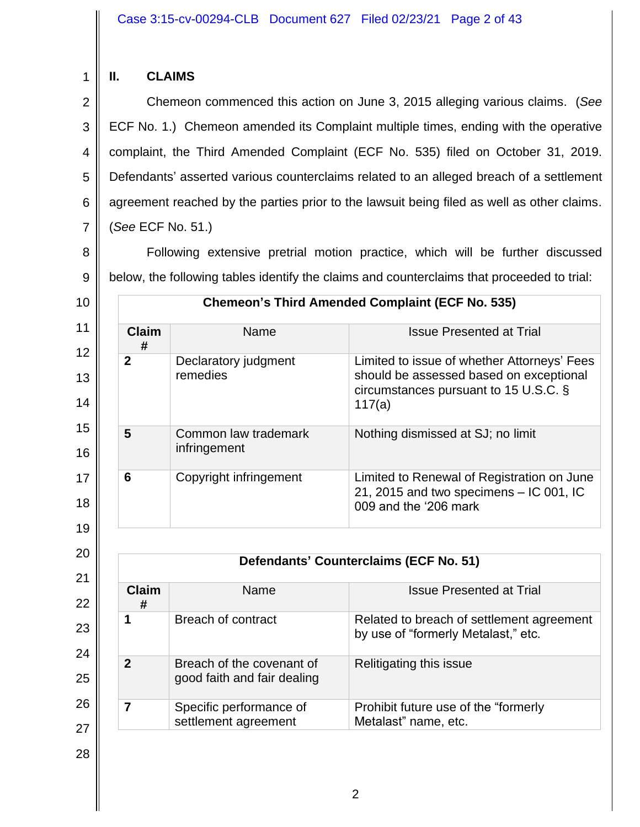# **II. CLAIMS**

1

10

2 3 4 5 6 7 Chemeon commenced this action on June 3, 2015 alleging various claims. (*See* ECF No. 1.) Chemeon amended its Complaint multiple times, ending with the operative complaint, the Third Amended Complaint (ECF No. 535) filed on October 31, 2019. Defendants' asserted various counterclaims related to an alleged breach of a settlement agreement reached by the parties prior to the lawsuit being filed as well as other claims. (*See* ECF No. 51.)

8 9 Following extensive pretrial motion practice, which will be further discussed below, the following tables identify the claims and counterclaims that proceeded to trial:

11 12 13 14 15 16 17 18 19 **Chemeon's Third Amended Complaint (ECF No. 535) Claim #** Name **Issue Presented at Trial 2 Declaratory judgment** remedies Limited to issue of whether Attorneys' Fees should be assessed based on exceptional circumstances pursuant to 15 U.S.C. § 117(a) **5** Common law trademark infringement Nothing dismissed at SJ; no limit **6** Copyright infringement Limited to Renewal of Registration on June 21, 2015 and two specimens – IC 001, IC 009 and the '206 mark

**Defendants' Counterclaims (ECF No. 51)**

**1** Breach of contract Related to breach of settlement agreement

Name **Issue Presented at Trial** 

Relitigating this issue

Metalast" name, etc.

by use of "formerly Metalast," etc.

Prohibit future use of the "formerly

# 20 21 22 23

**Claim #**

**2** Breach of the covenant of

**7** Specific performance of

good faith and fair dealing

settlement agreement

| 24 |
|----|
| 25 |

26

27 28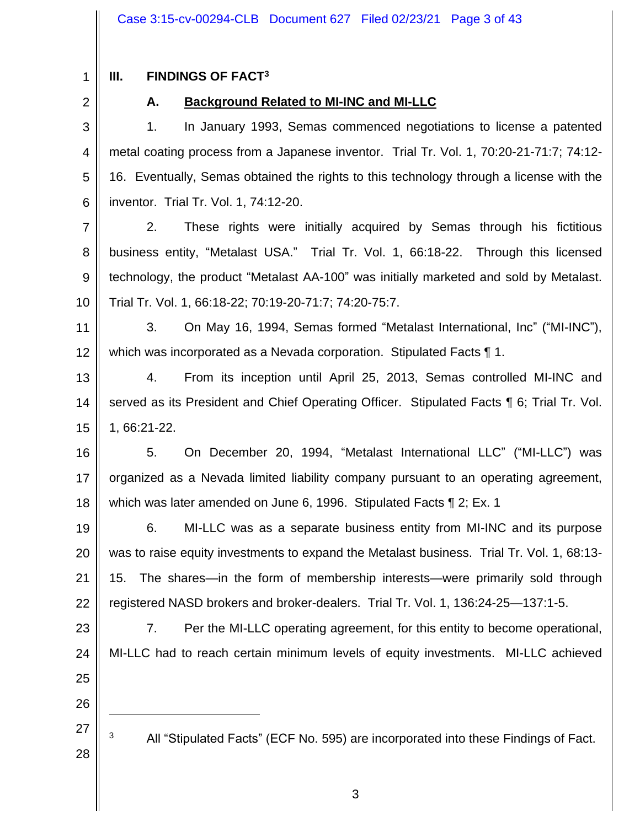1

# **III. FINDINGS OF FACT<sup>3</sup>**

2

# **A. Background Related to MI-INC and MI-LLC**

3 4 5 6 1. In January 1993, Semas commenced negotiations to license a patented metal coating process from a Japanese inventor. Trial Tr. Vol. 1, 70:20-21-71:7; 74:12- 16. Eventually, Semas obtained the rights to this technology through a license with the inventor. Trial Tr. Vol. 1, 74:12-20.

7 8 9 10 2. These rights were initially acquired by Semas through his fictitious business entity, "Metalast USA." Trial Tr. Vol. 1, 66:18-22. Through this licensed technology, the product "Metalast AA-100" was initially marketed and sold by Metalast. Trial Tr. Vol. 1, 66:18-22; 70:19-20-71:7; 74:20-75:7.

11 12 3. On May 16, 1994, Semas formed "Metalast International, Inc" ("MI-INC"), which was incorporated as a Nevada corporation. Stipulated Facts ¶ 1.

13 14 15 4. From its inception until April 25, 2013, Semas controlled MI-INC and served as its President and Chief Operating Officer. Stipulated Facts ¶ 6; Trial Tr. Vol. 1, 66:21-22.

16 17 18 5. On December 20, 1994, "Metalast International LLC" ("MI-LLC") was organized as a Nevada limited liability company pursuant to an operating agreement, which was later amended on June 6, 1996. Stipulated Facts ¶ 2; Ex. 1

19 20 21 22 6. MI-LLC was as a separate business entity from MI-INC and its purpose was to raise equity investments to expand the Metalast business. Trial Tr. Vol. 1, 68:13- 15. The shares—in the form of membership interests—were primarily sold through registered NASD brokers and broker-dealers. Trial Tr. Vol. 1, 136:24-25—137:1-5.

23 24 25 7. Per the MI-LLC operating agreement, for this entity to become operational, MI-LLC had to reach certain minimum levels of equity investments. MI-LLC achieved

26

27

28

<sup>3</sup> All "Stipulated Facts" (ECF No. 595) are incorporated into these Findings of Fact.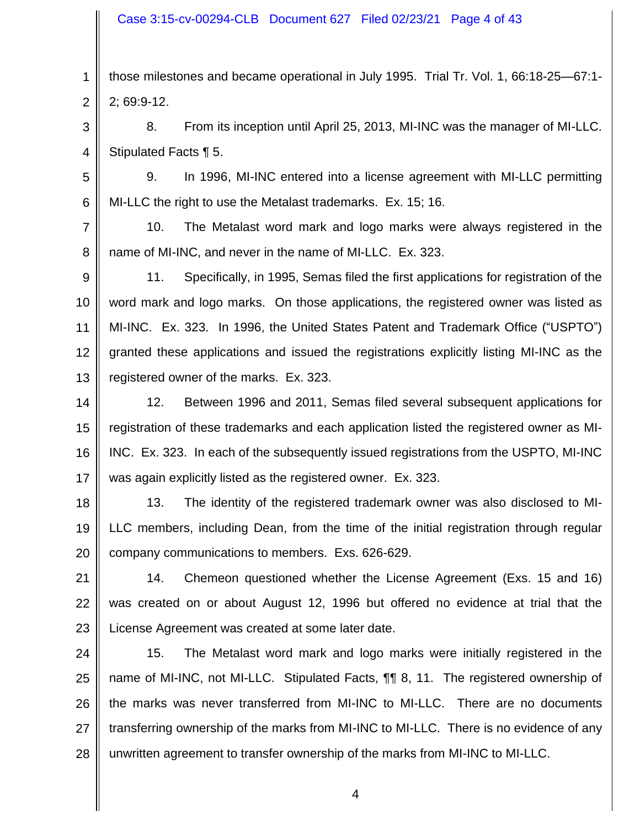1 2 those milestones and became operational in July 1995. Trial Tr. Vol. 1, 66:18-25—67:1- 2; 69:9-12.

3 4 8. From its inception until April 25, 2013, MI-INC was the manager of MI-LLC. Stipulated Facts ¶ 5.

5 6 9. In 1996, MI-INC entered into a license agreement with MI-LLC permitting MI-LLC the right to use the Metalast trademarks. Ex. 15; 16.

7 8 10. The Metalast word mark and logo marks were always registered in the name of MI-INC, and never in the name of MI-LLC. Ex. 323.

9 10 11 12 13 11. Specifically, in 1995, Semas filed the first applications for registration of the word mark and logo marks. On those applications, the registered owner was listed as MI-INC. Ex. 323. In 1996, the United States Patent and Trademark Office ("USPTO") granted these applications and issued the registrations explicitly listing MI-INC as the registered owner of the marks. Ex. 323.

14 15 16 17 12. Between 1996 and 2011, Semas filed several subsequent applications for registration of these trademarks and each application listed the registered owner as MI-INC. Ex. 323. In each of the subsequently issued registrations from the USPTO, MI-INC was again explicitly listed as the registered owner. Ex. 323.

18 19 20 13. The identity of the registered trademark owner was also disclosed to MI-LLC members, including Dean, from the time of the initial registration through regular company communications to members. Exs. 626-629.

21 22 23 14. Chemeon questioned whether the License Agreement (Exs. 15 and 16) was created on or about August 12, 1996 but offered no evidence at trial that the License Agreement was created at some later date.

24 25 26 27 28 15. The Metalast word mark and logo marks were initially registered in the name of MI-INC, not MI-LLC. Stipulated Facts, ¶¶ 8, 11. The registered ownership of the marks was never transferred from MI-INC to MI-LLC. There are no documents transferring ownership of the marks from MI-INC to MI-LLC. There is no evidence of any unwritten agreement to transfer ownership of the marks from MI-INC to MI-LLC.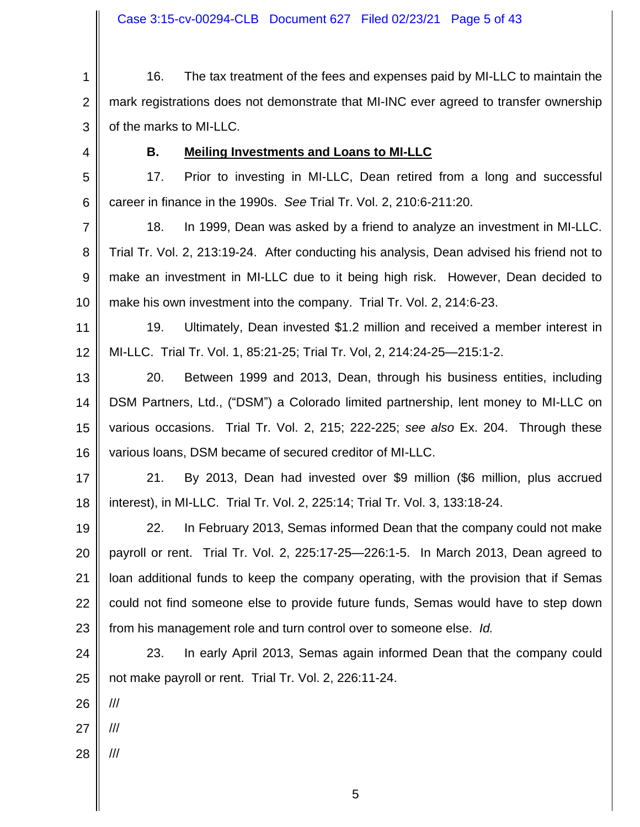1 2 3 16. The tax treatment of the fees and expenses paid by MI-LLC to maintain the mark registrations does not demonstrate that MI-INC ever agreed to transfer ownership of the marks to MI-LLC.

4

### **B. Meiling Investments and Loans to MI-LLC**

5 6 17. Prior to investing in MI-LLC, Dean retired from a long and successful career in finance in the 1990s. *See* Trial Tr. Vol. 2, 210:6-211:20.

7 8 9 10 18. In 1999, Dean was asked by a friend to analyze an investment in MI-LLC. Trial Tr. Vol. 2, 213:19-24. After conducting his analysis, Dean advised his friend not to make an investment in MI-LLC due to it being high risk. However, Dean decided to make his own investment into the company. Trial Tr. Vol. 2, 214:6-23.

11 12 19. Ultimately, Dean invested \$1.2 million and received a member interest in MI-LLC. Trial Tr. Vol. 1, 85:21-25; Trial Tr. Vol, 2, 214:24-25—215:1-2.

13 14 15 16 20. Between 1999 and 2013, Dean, through his business entities, including DSM Partners, Ltd., ("DSM") a Colorado limited partnership, lent money to MI-LLC on various occasions. Trial Tr. Vol. 2, 215; 222-225; *see also* Ex. 204. Through these various loans, DSM became of secured creditor of MI-LLC.

17 18 21. By 2013, Dean had invested over \$9 million (\$6 million, plus accrued interest), in MI-LLC. Trial Tr. Vol. 2, 225:14; Trial Tr. Vol. 3, 133:18-24.

19 20 21 22 23 22. In February 2013, Semas informed Dean that the company could not make payroll or rent. Trial Tr. Vol. 2, 225:17-25—226:1-5. In March 2013, Dean agreed to loan additional funds to keep the company operating, with the provision that if Semas could not find someone else to provide future funds, Semas would have to step down from his management role and turn control over to someone else. *Id.*

24 25 23. In early April 2013, Semas again informed Dean that the company could not make payroll or rent. Trial Tr. Vol. 2, 226:11-24.

26 ///

27 ///

28 ///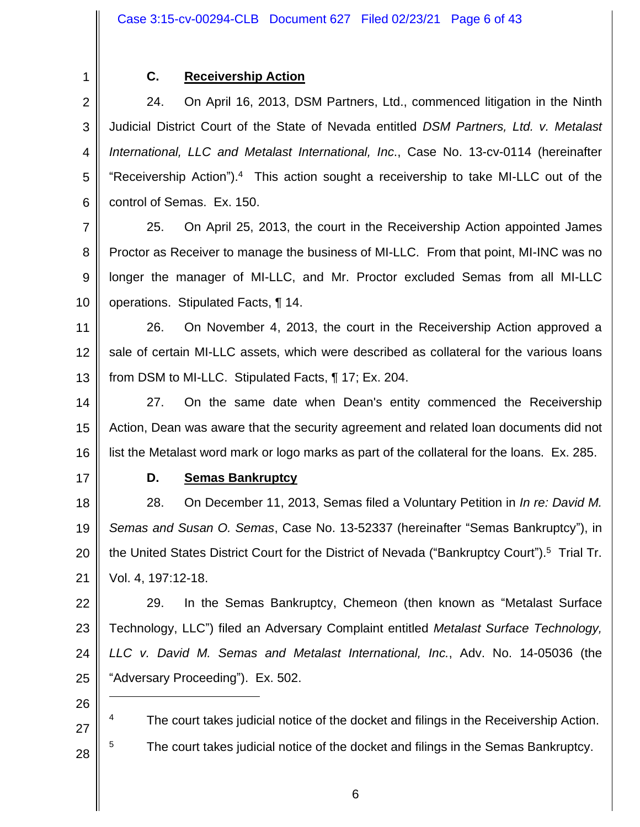1

# **C. Receivership Action**

2 3 4 5 6 24. On April 16, 2013, DSM Partners, Ltd., commenced litigation in the Ninth Judicial District Court of the State of Nevada entitled *DSM Partners, Ltd. v. Metalast International, LLC and Metalast International, Inc*., Case No. 13-cv-0114 (hereinafter "Receivership Action"). $4$  This action sought a receivership to take MI-LLC out of the control of Semas. Ex. 150.

7 8 9 10 25. On April 25, 2013, the court in the Receivership Action appointed James Proctor as Receiver to manage the business of MI-LLC. From that point, MI-INC was no longer the manager of MI-LLC, and Mr. Proctor excluded Semas from all MI-LLC operations. Stipulated Facts, ¶ 14.

11 12 13 26. On November 4, 2013, the court in the Receivership Action approved a sale of certain MI-LLC assets, which were described as collateral for the various loans from DSM to MI-LLC. Stipulated Facts, ¶ 17; Ex. 204.

14 15 16 27. On the same date when Dean's entity commenced the Receivership Action, Dean was aware that the security agreement and related loan documents did not list the Metalast word mark or logo marks as part of the collateral for the loans. Ex. 285.

17

# **D. Semas Bankruptcy**

18 19 20 21 28. On December 11, 2013, Semas filed a Voluntary Petition in *In re: David M. Semas and Susan O. Semas*, Case No. 13-52337 (hereinafter "Semas Bankruptcy"), in the United States District Court for the District of Nevada ("Bankruptcy Court").<sup>5</sup> Trial Tr. Vol. 4, 197:12-18.

22 23 24 25 29. In the Semas Bankruptcy, Chemeon (then known as "Metalast Surface Technology, LLC") filed an Adversary Complaint entitled *Metalast Surface Technology, LLC v. David M. Semas and Metalast International, Inc.*, Adv. No. 14-05036 (the "Adversary Proceeding"). Ex. 502.

26

27

28

<sup>4</sup> The court takes judicial notice of the docket and filings in the Receivership Action.

<sup>5</sup> The court takes judicial notice of the docket and filings in the Semas Bankruptcy.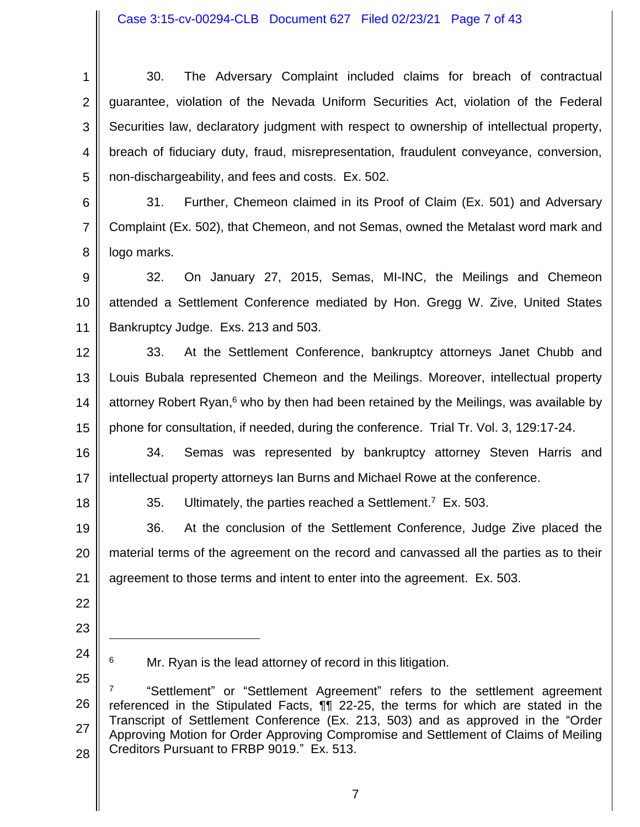#### Case 3:15-cv-00294-CLB Document 627 Filed 02/23/21 Page 7 of 43

1 2 3 4 5 30. The Adversary Complaint included claims for breach of contractual guarantee, violation of the Nevada Uniform Securities Act, violation of the Federal Securities law, declaratory judgment with respect to ownership of intellectual property, breach of fiduciary duty, fraud, misrepresentation, fraudulent conveyance, conversion, non-dischargeability, and fees and costs. Ex. 502.

6 7 8 31. Further, Chemeon claimed in its Proof of Claim (Ex. 501) and Adversary Complaint (Ex. 502), that Chemeon, and not Semas, owned the Metalast word mark and logo marks.

9 10 11 32. On January 27, 2015, Semas, MI-INC, the Meilings and Chemeon attended a Settlement Conference mediated by Hon. Gregg W. Zive, United States Bankruptcy Judge. Exs. 213 and 503.

12 13 14 15 33. At the Settlement Conference, bankruptcy attorneys Janet Chubb and Louis Bubala represented Chemeon and the Meilings. Moreover, intellectual property attorney Robert Ryan,<sup>6</sup> who by then had been retained by the Meilings, was available by phone for consultation, if needed, during the conference. Trial Tr. Vol. 3, 129:17-24.

16 17 34. Semas was represented by bankruptcy attorney Steven Harris and intellectual property attorneys Ian Burns and Michael Rowe at the conference.

18

35. Ultimately, the parties reached a Settlement.<sup>7</sup> Ex. 503.

19 20 21 36. At the conclusion of the Settlement Conference, Judge Zive placed the material terms of the agreement on the record and canvassed all the parties as to their agreement to those terms and intent to enter into the agreement. Ex. 503.

- 22
- 23
- 24 25

 $6$  Mr. Ryan is the lead attorney of record in this litigation.

26 27 28 7 "Settlement" or "Settlement Agreement" refers to the settlement agreement referenced in the Stipulated Facts, ¶¶ 22-25, the terms for which are stated in the Transcript of Settlement Conference (Ex. 213, 503) and as approved in the "Order Approving Motion for Order Approving Compromise and Settlement of Claims of Meiling Creditors Pursuant to FRBP 9019." Ex. 513.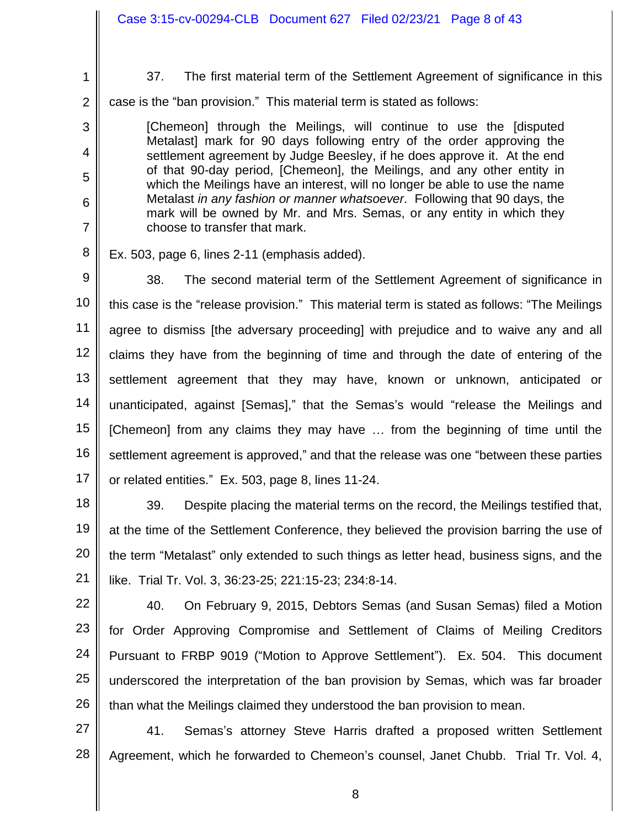|                | Case 3:15-cv-00294-CLB  Document 627  Filed 02/23/21  Page 8 of 43                                                                                     |  |
|----------------|--------------------------------------------------------------------------------------------------------------------------------------------------------|--|
|                |                                                                                                                                                        |  |
| 1              | 37.<br>The first material term of the Settlement Agreement of significance in this                                                                     |  |
| $\overline{2}$ | case is the "ban provision." This material term is stated as follows:                                                                                  |  |
| 3              | [Chemeon] through the Meilings, will continue to use the [disputed                                                                                     |  |
| $\overline{4}$ | Metalast] mark for 90 days following entry of the order approving the<br>settlement agreement by Judge Beesley, if he does approve it. At the end      |  |
| 5              | of that 90-day period, [Chemeon], the Meilings, and any other entity in<br>which the Meilings have an interest, will no longer be able to use the name |  |
| 6              | Metalast in any fashion or manner whatsoever. Following that 90 days, the<br>mark will be owned by Mr. and Mrs. Semas, or any entity in which they     |  |
| $\overline{7}$ | choose to transfer that mark.                                                                                                                          |  |
| 8              | Ex. 503, page 6, lines 2-11 (emphasis added).                                                                                                          |  |
| 9              | 38.<br>The second material term of the Settlement Agreement of significance in                                                                         |  |
| 10             | this case is the "release provision." This material term is stated as follows: "The Meilings"                                                          |  |
| 11             | agree to dismiss [the adversary proceeding] with prejudice and to waive any and all                                                                    |  |
| 12             | claims they have from the beginning of time and through the date of entering of the                                                                    |  |
| 13             | settlement agreement that they may have, known or unknown, anticipated or                                                                              |  |
| 14             | unanticipated, against [Semas]," that the Semas's would "release the Meilings and                                                                      |  |
| 15             | [Chemeon] from any claims they may have  from the beginning of time until the                                                                          |  |
| 16             | settlement agreement is approved," and that the release was one "between these parties                                                                 |  |
| 17             | or related entities." Ex. 503, page 8, lines 11-24.                                                                                                    |  |
| 18             | 39.<br>Despite placing the material terms on the record, the Meilings testified that,                                                                  |  |
| 19             | at the time of the Settlement Conference, they believed the provision barring the use of                                                               |  |
| 20             | the term "Metalast" only extended to such things as letter head, business signs, and the                                                               |  |
| 21             | like. Trial Tr. Vol. 3, 36:23-25; 221:15-23; 234:8-14.                                                                                                 |  |

22 23 24 25 26 40. On February 9, 2015, Debtors Semas (and Susan Semas) filed a Motion for Order Approving Compromise and Settlement of Claims of Meiling Creditors Pursuant to FRBP 9019 ("Motion to Approve Settlement"). Ex. 504. This document underscored the interpretation of the ban provision by Semas, which was far broader than what the Meilings claimed they understood the ban provision to mean.

27 28 41. Semas's attorney Steve Harris drafted a proposed written Settlement Agreement, which he forwarded to Chemeon's counsel, Janet Chubb. Trial Tr. Vol. 4,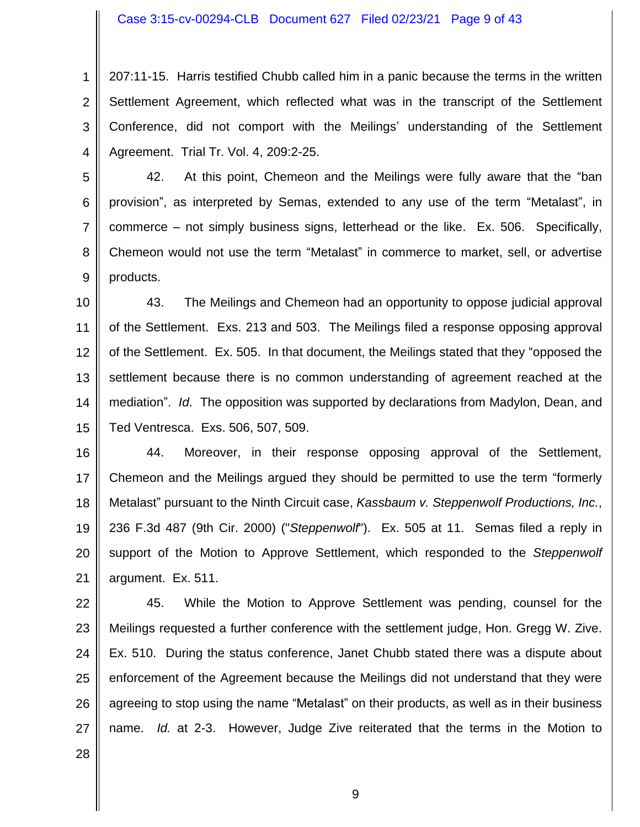Case 3:15-cv-00294-CLB Document 627 Filed 02/23/21 Page 9 of 43

1 2 3 4 207:11-15. Harris testified Chubb called him in a panic because the terms in the written Settlement Agreement, which reflected what was in the transcript of the Settlement Conference, did not comport with the Meilings' understanding of the Settlement Agreement. Trial Tr. Vol. 4, 209:2-25.

5 6 7 8 9 42. At this point, Chemeon and the Meilings were fully aware that the "ban provision", as interpreted by Semas, extended to any use of the term "Metalast", in commerce – not simply business signs, letterhead or the like. Ex. 506. Specifically, Chemeon would not use the term "Metalast" in commerce to market, sell, or advertise products.

10 11 12 13 14 15 43. The Meilings and Chemeon had an opportunity to oppose judicial approval of the Settlement. Exs. 213 and 503. The Meilings filed a response opposing approval of the Settlement. Ex. 505. In that document, the Meilings stated that they "opposed the settlement because there is no common understanding of agreement reached at the mediation". *Id*. The opposition was supported by declarations from Madylon, Dean, and Ted Ventresca. Exs. 506, 507, 509.

16 17 18 19 20 21 44. Moreover, in their response opposing approval of the Settlement, Chemeon and the Meilings argued they should be permitted to use the term "formerly Metalast" pursuant to the Ninth Circuit case, *Kassbaum v. Steppenwolf Productions, Inc.*, 236 F.3d 487 (9th Cir. 2000) ("*Steppenwolf*"). Ex. 505 at 11. Semas filed a reply in support of the Motion to Approve Settlement, which responded to the *Steppenwolf* argument. Ex. 511.

22 23 24 25 26 27 45. While the Motion to Approve Settlement was pending, counsel for the Meilings requested a further conference with the settlement judge, Hon. Gregg W. Zive. Ex. 510. During the status conference, Janet Chubb stated there was a dispute about enforcement of the Agreement because the Meilings did not understand that they were agreeing to stop using the name "Metalast" on their products, as well as in their business name. *Id.* at 2-3. However, Judge Zive reiterated that the terms in the Motion to

28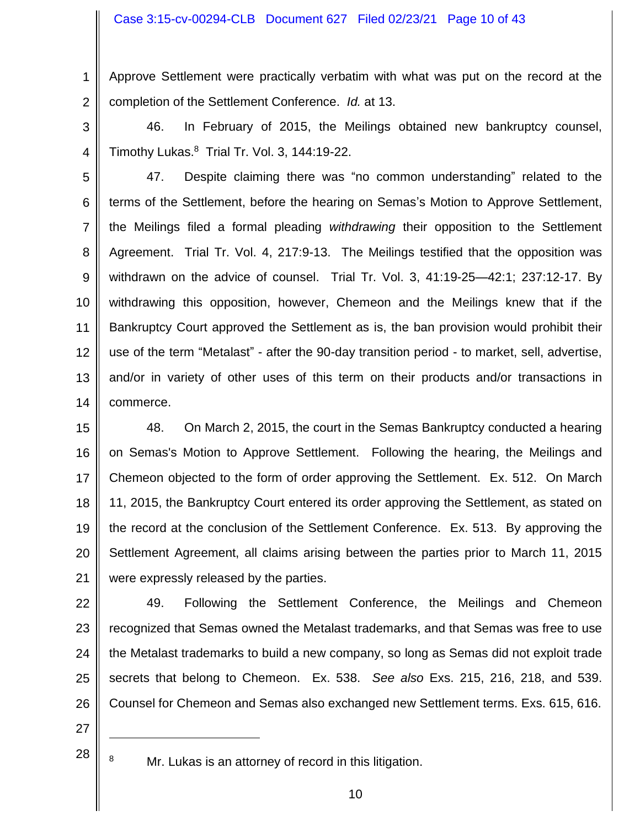1 2 Approve Settlement were practically verbatim with what was put on the record at the completion of the Settlement Conference. *Id.* at 13.

3

4

46. In February of 2015, the Meilings obtained new bankruptcy counsel, Timothy Lukas.<sup>8</sup> Trial Tr. Vol. 3, 144:19-22.

5 6 7 8 9 10 11 12 13 14 47. Despite claiming there was "no common understanding" related to the terms of the Settlement, before the hearing on Semas's Motion to Approve Settlement, the Meilings filed a formal pleading *withdrawing* their opposition to the Settlement Agreement. Trial Tr. Vol. 4, 217:9-13. The Meilings testified that the opposition was withdrawn on the advice of counsel. Trial Tr. Vol. 3, 41:19-25—42:1; 237:12-17. By withdrawing this opposition, however, Chemeon and the Meilings knew that if the Bankruptcy Court approved the Settlement as is, the ban provision would prohibit their use of the term "Metalast" - after the 90-day transition period - to market, sell, advertise, and/or in variety of other uses of this term on their products and/or transactions in commerce.

15 16 17 18 19 20 21 48. On March 2, 2015, the court in the Semas Bankruptcy conducted a hearing on Semas's Motion to Approve Settlement. Following the hearing, the Meilings and Chemeon objected to the form of order approving the Settlement. Ex. 512. On March 11, 2015, the Bankruptcy Court entered its order approving the Settlement, as stated on the record at the conclusion of the Settlement Conference. Ex. 513. By approving the Settlement Agreement, all claims arising between the parties prior to March 11, 2015 were expressly released by the parties.

22 23 24 25 26 49. Following the Settlement Conference, the Meilings and Chemeon recognized that Semas owned the Metalast trademarks, and that Semas was free to use the Metalast trademarks to build a new company, so long as Semas did not exploit trade secrets that belong to Chemeon. Ex. 538. *See also* Exs. 215, 216, 218, and 539. Counsel for Chemeon and Semas also exchanged new Settlement terms. Exs. 615, 616.

27 28

8 Mr. Lukas is an attorney of record in this litigation.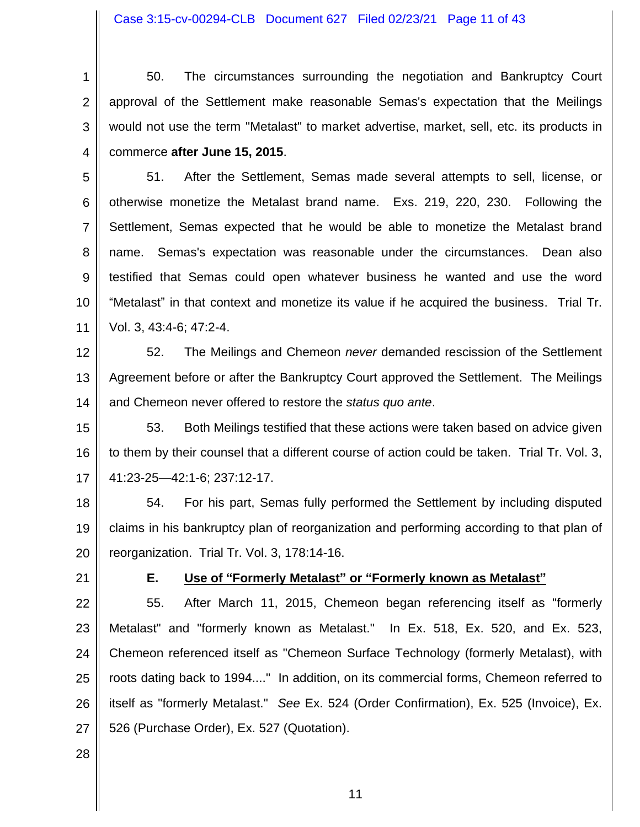Case 3:15-cv-00294-CLB Document 627 Filed 02/23/21 Page 11 of 43

1 2 3 4 50. The circumstances surrounding the negotiation and Bankruptcy Court approval of the Settlement make reasonable Semas's expectation that the Meilings would not use the term "Metalast" to market advertise, market, sell, etc. its products in commerce **after June 15, 2015**.

5 6 7 8 9 10 11 51. After the Settlement, Semas made several attempts to sell, license, or otherwise monetize the Metalast brand name. Exs. 219, 220, 230. Following the Settlement, Semas expected that he would be able to monetize the Metalast brand name. Semas's expectation was reasonable under the circumstances. Dean also testified that Semas could open whatever business he wanted and use the word "Metalast" in that context and monetize its value if he acquired the business. Trial Tr. Vol. 3, 43:4-6; 47:2-4.

12 13 14 52. The Meilings and Chemeon *never* demanded rescission of the Settlement Agreement before or after the Bankruptcy Court approved the Settlement. The Meilings and Chemeon never offered to restore the *status quo ante*.

15 16 17 53. Both Meilings testified that these actions were taken based on advice given to them by their counsel that a different course of action could be taken. Trial Tr. Vol. 3, 41:23-25—42:1-6; 237:12-17.

18 19 20 54. For his part, Semas fully performed the Settlement by including disputed claims in his bankruptcy plan of reorganization and performing according to that plan of reorganization. Trial Tr. Vol. 3, 178:14-16.

21

### **E. Use of "Formerly Metalast" or "Formerly known as Metalast"**

22 23 24 25 26 27 55. After March 11, 2015, Chemeon began referencing itself as "formerly Metalast" and "formerly known as Metalast." In Ex. 518, Ex. 520, and Ex. 523, Chemeon referenced itself as "Chemeon Surface Technology (formerly Metalast), with roots dating back to 1994...." In addition, on its commercial forms, Chemeon referred to itself as "formerly Metalast." *See* Ex. 524 (Order Confirmation), Ex. 525 (Invoice), Ex. 526 (Purchase Order), Ex. 527 (Quotation).

28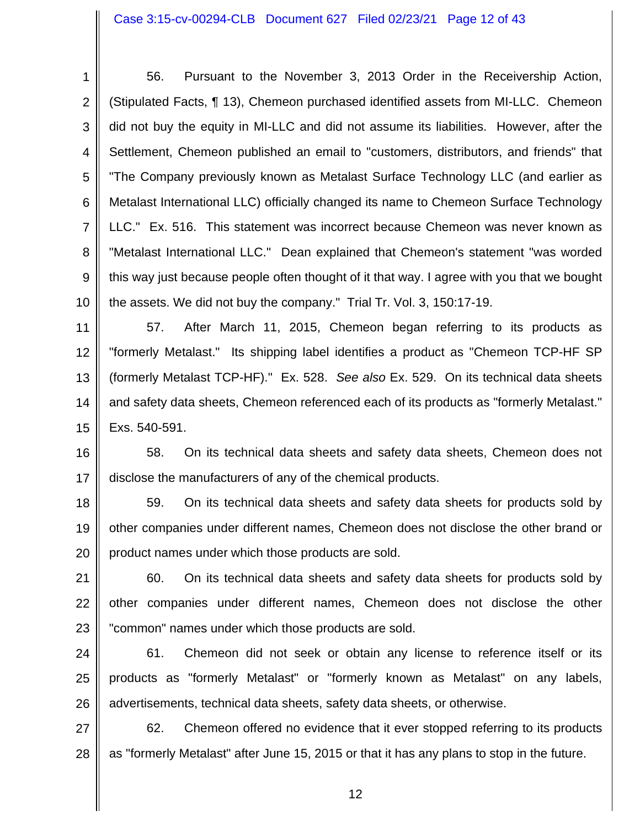1 2 3 4 5 6 7 8 9 10 56. Pursuant to the November 3, 2013 Order in the Receivership Action, (Stipulated Facts, ¶ 13), Chemeon purchased identified assets from MI-LLC. Chemeon did not buy the equity in MI-LLC and did not assume its liabilities. However, after the Settlement, Chemeon published an email to "customers, distributors, and friends" that "The Company previously known as Metalast Surface Technology LLC (and earlier as Metalast International LLC) officially changed its name to Chemeon Surface Technology LLC." Ex. 516. This statement was incorrect because Chemeon was never known as "Metalast International LLC." Dean explained that Chemeon's statement "was worded this way just because people often thought of it that way. I agree with you that we bought the assets. We did not buy the company." Trial Tr. Vol. 3, 150:17-19.

11 12 13 14 15 57. After March 11, 2015, Chemeon began referring to its products as "formerly Metalast." Its shipping label identifies a product as "Chemeon TCP-HF SP (formerly Metalast TCP-HF)." Ex. 528. *See also* Ex. 529. On its technical data sheets and safety data sheets, Chemeon referenced each of its products as "formerly Metalast." Exs. 540-591.

16 17 58. On its technical data sheets and safety data sheets, Chemeon does not disclose the manufacturers of any of the chemical products.

18 19 20 59. On its technical data sheets and safety data sheets for products sold by other companies under different names, Chemeon does not disclose the other brand or product names under which those products are sold.

21 22 23 60. On its technical data sheets and safety data sheets for products sold by other companies under different names, Chemeon does not disclose the other "common" names under which those products are sold.

24 25 26 61. Chemeon did not seek or obtain any license to reference itself or its products as "formerly Metalast" or "formerly known as Metalast" on any labels, advertisements, technical data sheets, safety data sheets, or otherwise.

27 28 62. Chemeon offered no evidence that it ever stopped referring to its products as "formerly Metalast" after June 15, 2015 or that it has any plans to stop in the future.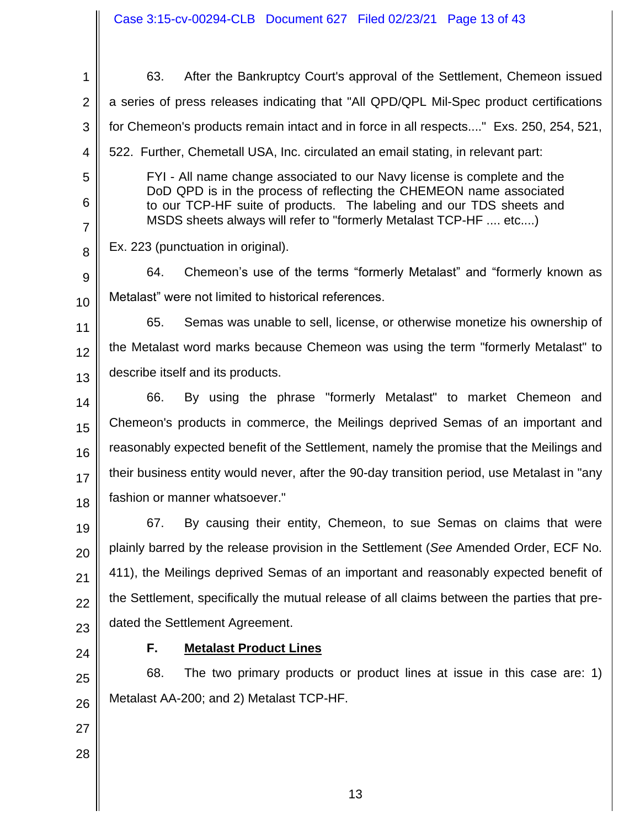1 2 3 4 5 6 7 8 9 10 11 12 13 14 15 16 17 18 19 20 21 22 23 24 25 26 27 28 63. After the Bankruptcy Court's approval of the Settlement, Chemeon issued a series of press releases indicating that "All QPD/QPL Mil-Spec product certifications for Chemeon's products remain intact and in force in all respects...." Exs. 250, 254, 521, 522. Further, Chemetall USA, Inc. circulated an email stating, in relevant part: FYI - All name change associated to our Navy license is complete and the DoD QPD is in the process of reflecting the CHEMEON name associated to our TCP-HF suite of products. The labeling and our TDS sheets and MSDS sheets always will refer to "formerly Metalast TCP-HF .... etc....) Ex. 223 (punctuation in original). 64. Chemeon's use of the terms "formerly Metalast" and "formerly known as Metalast" were not limited to historical references. 65. Semas was unable to sell, license, or otherwise monetize his ownership of the Metalast word marks because Chemeon was using the term "formerly Metalast" to describe itself and its products. 66. By using the phrase "formerly Metalast" to market Chemeon and Chemeon's products in commerce, the Meilings deprived Semas of an important and reasonably expected benefit of the Settlement, namely the promise that the Meilings and their business entity would never, after the 90-day transition period, use Metalast in "any fashion or manner whatsoever." 67. By causing their entity, Chemeon, to sue Semas on claims that were plainly barred by the release provision in the Settlement (*See* Amended Order, ECF No. 411), the Meilings deprived Semas of an important and reasonably expected benefit of the Settlement, specifically the mutual release of all claims between the parties that predated the Settlement Agreement. **F. Metalast Product Lines** 68. The two primary products or product lines at issue in this case are: 1) Metalast AA-200; and 2) Metalast TCP-HF. Case 3:15-cv-00294-CLB Document 627 Filed 02/23/21 Page 13 of 43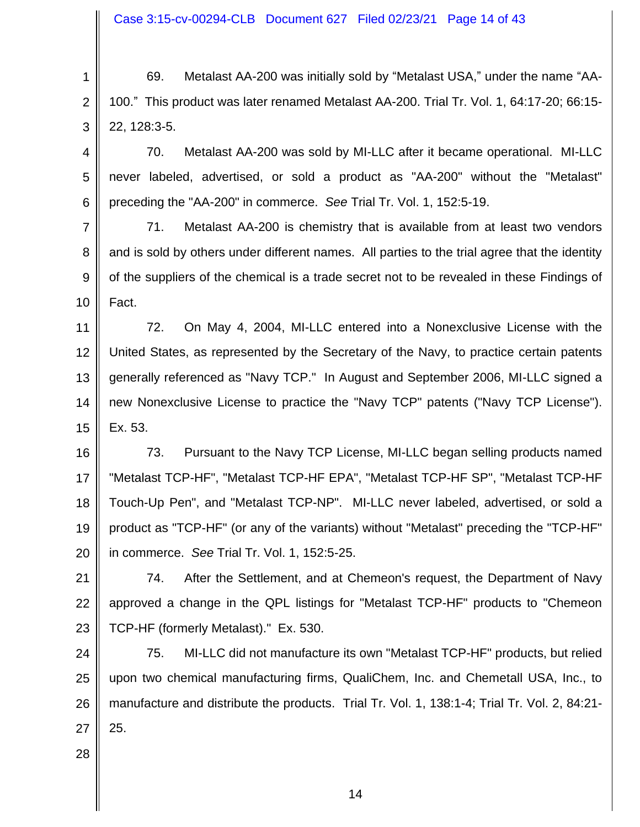1 2 3 69. Metalast AA-200 was initially sold by "Metalast USA," under the name "AA-100." This product was later renamed Metalast AA-200. Trial Tr. Vol. 1, 64:17-20; 66:15- 22, 128:3-5.

4 5 6 70. Metalast AA-200 was sold by MI-LLC after it became operational. MI-LLC never labeled, advertised, or sold a product as "AA-200" without the "Metalast" preceding the "AA-200" in commerce. *See* Trial Tr. Vol. 1, 152:5-19.

7 8 9 10 71. Metalast AA-200 is chemistry that is available from at least two vendors and is sold by others under different names. All parties to the trial agree that the identity of the suppliers of the chemical is a trade secret not to be revealed in these Findings of Fact.

11 12 13 14 15 72. On May 4, 2004, MI-LLC entered into a Nonexclusive License with the United States, as represented by the Secretary of the Navy, to practice certain patents generally referenced as "Navy TCP." In August and September 2006, MI-LLC signed a new Nonexclusive License to practice the "Navy TCP" patents ("Navy TCP License"). Ex. 53.

16 17 18 19 20 73. Pursuant to the Navy TCP License, MI-LLC began selling products named "Metalast TCP-HF", "Metalast TCP-HF EPA", "Metalast TCP-HF SP", "Metalast TCP-HF Touch-Up Pen", and "Metalast TCP-NP". MI-LLC never labeled, advertised, or sold a product as "TCP-HF" (or any of the variants) without "Metalast" preceding the "TCP-HF" in commerce. *See* Trial Tr. Vol. 1, 152:5-25.

21 22 23 74. After the Settlement, and at Chemeon's request, the Department of Navy approved a change in the QPL listings for "Metalast TCP-HF" products to "Chemeon TCP-HF (formerly Metalast)." Ex. 530.

24 25 26 27 75. MI-LLC did not manufacture its own "Metalast TCP-HF" products, but relied upon two chemical manufacturing firms, QualiChem, Inc. and Chemetall USA, Inc., to manufacture and distribute the products. Trial Tr. Vol. 1, 138:1-4; Trial Tr. Vol. 2, 84:21- 25.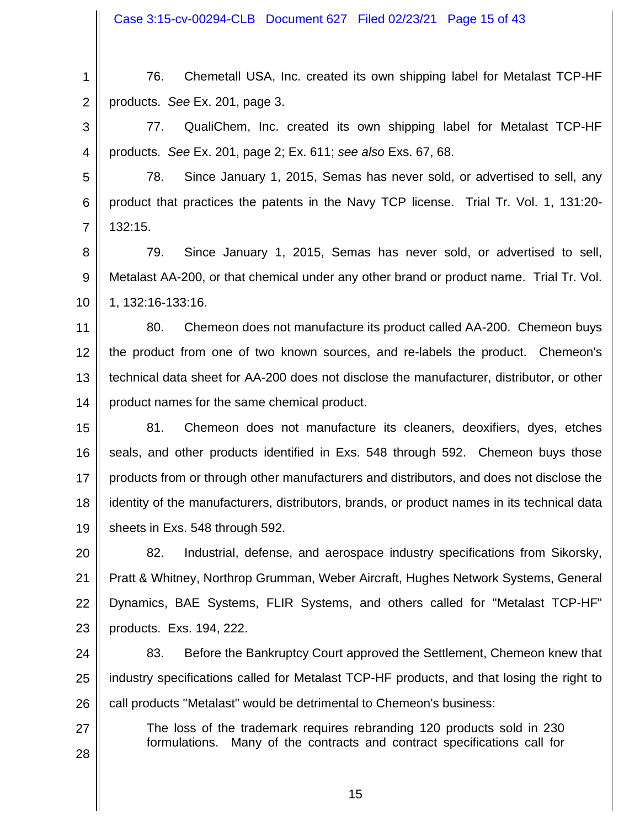Case 3:15-cv-00294-CLB Document 627 Filed 02/23/21 Page 15 of 43

1 2 76. Chemetall USA, Inc. created its own shipping label for Metalast TCP-HF products. *See* Ex. 201, page 3.

3 4 77. QualiChem, Inc. created its own shipping label for Metalast TCP-HF products. *See* Ex. 201, page 2; Ex. 611; *see also* Exs. 67, 68.

5 6 7 78. Since January 1, 2015, Semas has never sold, or advertised to sell, any product that practices the patents in the Navy TCP license. Trial Tr. Vol. 1, 131:20- 132:15.

8 9 10 79. Since January 1, 2015, Semas has never sold, or advertised to sell, Metalast AA-200, or that chemical under any other brand or product name. Trial Tr. Vol. 1, 132:16-133:16.

11 12 13 14 80. Chemeon does not manufacture its product called AA-200. Chemeon buys the product from one of two known sources, and re-labels the product. Chemeon's technical data sheet for AA-200 does not disclose the manufacturer, distributor, or other product names for the same chemical product.

15 16 17 18 19 81. Chemeon does not manufacture its cleaners, deoxifiers, dyes, etches seals, and other products identified in Exs. 548 through 592. Chemeon buys those products from or through other manufacturers and distributors, and does not disclose the identity of the manufacturers, distributors, brands, or product names in its technical data sheets in Exs. 548 through 592.

20 21 22 23 82. Industrial, defense, and aerospace industry specifications from Sikorsky, Pratt & Whitney, Northrop Grumman, Weber Aircraft, Hughes Network Systems, General Dynamics, BAE Systems, FLIR Systems, and others called for "Metalast TCP-HF" products. Exs. 194, 222.

24 25 26 83. Before the Bankruptcy Court approved the Settlement, Chemeon knew that industry specifications called for Metalast TCP-HF products, and that losing the right to call products "Metalast" would be detrimental to Chemeon's business:

The loss of the trademark requires rebranding 120 products sold in 230 formulations. Many of the contracts and contract specifications call for

27

28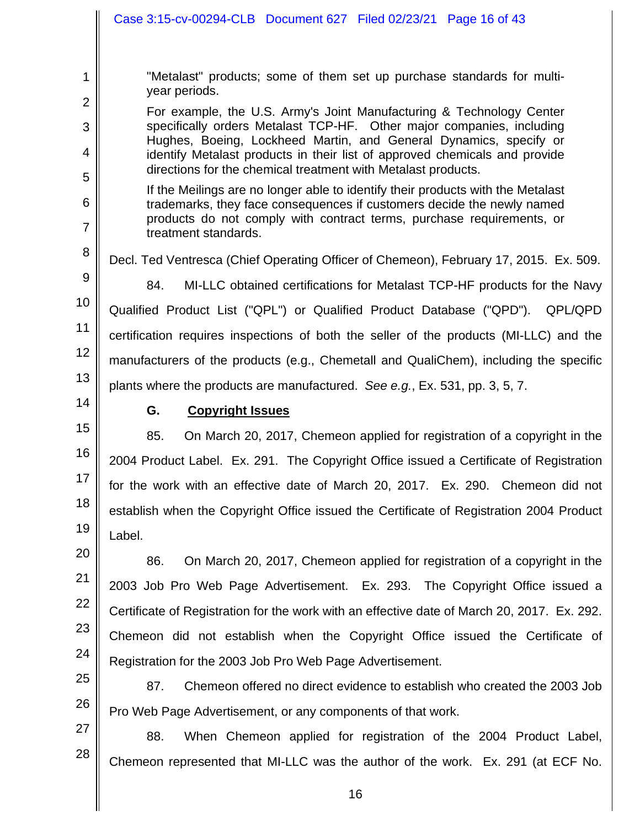|                          | Case 3:15-cv-00294-CLB  Document 627  Filed 02/23/21  Page 16 of 43                                                                                                                                                                                                                                                                                               |
|--------------------------|-------------------------------------------------------------------------------------------------------------------------------------------------------------------------------------------------------------------------------------------------------------------------------------------------------------------------------------------------------------------|
| 1<br>$\overline{2}$      | "Metalast" products; some of them set up purchase standards for multi-<br>year periods.                                                                                                                                                                                                                                                                           |
| 3<br>$\overline{4}$      | For example, the U.S. Army's Joint Manufacturing & Technology Center<br>specifically orders Metalast TCP-HF. Other major companies, including<br>Hughes, Boeing, Lockheed Martin, and General Dynamics, specify or<br>identify Metalast products in their list of approved chemicals and provide<br>directions for the chemical treatment with Metalast products. |
| 5<br>6<br>$\overline{7}$ | If the Meilings are no longer able to identify their products with the Metalast<br>trademarks, they face consequences if customers decide the newly named<br>products do not comply with contract terms, purchase requirements, or<br>treatment standards.                                                                                                        |
| 8<br>9                   | Decl. Ted Ventresca (Chief Operating Officer of Chemeon), February 17, 2015. Ex. 509.                                                                                                                                                                                                                                                                             |
| 10                       | 84.<br>MI-LLC obtained certifications for Metalast TCP-HF products for the Navy                                                                                                                                                                                                                                                                                   |
| 11                       | Qualified Product List ("QPL") or Qualified Product Database ("QPD").<br>QPL/QPD<br>certification requires inspections of both the seller of the products (MI-LLC) and the                                                                                                                                                                                        |
| 12                       | manufacturers of the products (e.g., Chemetall and QualiChem), including the specific                                                                                                                                                                                                                                                                             |
| 13                       | plants where the products are manufactured. See e.g., Ex. 531, pp. 3, 5, 7.                                                                                                                                                                                                                                                                                       |
| 14                       | G.<br><b>Copyright Issues</b>                                                                                                                                                                                                                                                                                                                                     |
| 15                       | 85.<br>On March 20, 2017, Chemeon applied for registration of a copyright in the                                                                                                                                                                                                                                                                                  |
| 16                       | 2004 Product Label. Ex. 291. The Copyright Office issued a Certificate of Registration                                                                                                                                                                                                                                                                            |
| 17<br>18                 | for the work with an effective date of March 20, 2017. Ex. 290. Chemeon did not                                                                                                                                                                                                                                                                                   |
| 19                       | establish when the Copyright Office issued the Certificate of Registration 2004 Product                                                                                                                                                                                                                                                                           |
| 20                       | Label.                                                                                                                                                                                                                                                                                                                                                            |
| 21                       | On March 20, 2017, Chemeon applied for registration of a copyright in the<br>86.                                                                                                                                                                                                                                                                                  |
| 22                       | 2003 Job Pro Web Page Advertisement. Ex. 293. The Copyright Office issued a                                                                                                                                                                                                                                                                                       |
| 23                       | Certificate of Registration for the work with an effective date of March 20, 2017. Ex. 292.                                                                                                                                                                                                                                                                       |
| 24                       | Chemeon did not establish when the Copyright Office issued the Certificate of                                                                                                                                                                                                                                                                                     |
| 25                       | Registration for the 2003 Job Pro Web Page Advertisement.                                                                                                                                                                                                                                                                                                         |

26 87. Chemeon offered no direct evidence to establish who created the 2003 Job Pro Web Page Advertisement, or any components of that work.

27 28 88. When Chemeon applied for registration of the 2004 Product Label, Chemeon represented that MI-LLC was the author of the work. Ex. 291 (at ECF No.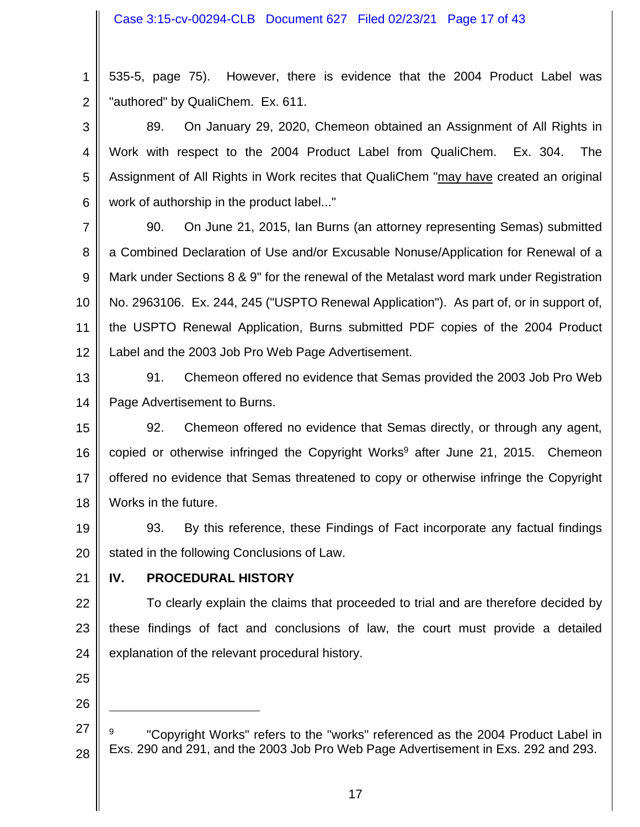#### Case 3:15-cv-00294-CLB Document 627 Filed 02/23/21 Page 17 of 43

1 2 535-5, page 75). However, there is evidence that the 2004 Product Label was "authored" by QualiChem. Ex. 611.

3 4 5 6 89. On January 29, 2020, Chemeon obtained an Assignment of All Rights in Work with respect to the 2004 Product Label from QualiChem. Ex. 304. The Assignment of All Rights in Work recites that QualiChem "may have created an original work of authorship in the product label..."

7 8 9 10 11 12 90. On June 21, 2015, Ian Burns (an attorney representing Semas) submitted a Combined Declaration of Use and/or Excusable Nonuse/Application for Renewal of a Mark under Sections 8 & 9" for the renewal of the Metalast word mark under Registration No. 2963106. Ex. 244, 245 ("USPTO Renewal Application"). As part of, or in support of, the USPTO Renewal Application, Burns submitted PDF copies of the 2004 Product Label and the 2003 Job Pro Web Page Advertisement.

13 14 91. Chemeon offered no evidence that Semas provided the 2003 Job Pro Web Page Advertisement to Burns.

15 16 17 18 92. Chemeon offered no evidence that Semas directly, or through any agent, copied or otherwise infringed the Copyright Works<sup>9</sup> after June 21, 2015. Chemeon offered no evidence that Semas threatened to copy or otherwise infringe the Copyright Works in the future.

19 20 93. By this reference, these Findings of Fact incorporate any factual findings stated in the following Conclusions of Law.

21

# **IV. PROCEDURAL HISTORY**

22 23 24 To clearly explain the claims that proceeded to trial and are therefore decided by these findings of fact and conclusions of law, the court must provide a detailed explanation of the relevant procedural history.

- 25
- 26

<sup>27</sup> 28 9 "Copyright Works" refers to the "works" referenced as the 2004 Product Label in Exs. 290 and 291, and the 2003 Job Pro Web Page Advertisement in Exs. 292 and 293.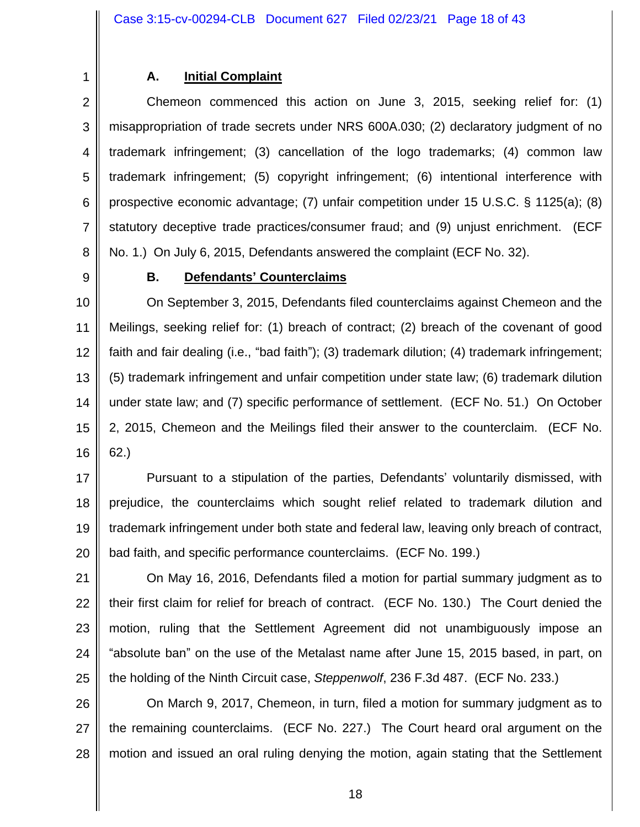1 2

# **A. Initial Complaint**

3 4 5 6 7 8 Chemeon commenced this action on June 3, 2015, seeking relief for: (1) misappropriation of trade secrets under NRS 600A.030; (2) declaratory judgment of no trademark infringement; (3) cancellation of the logo trademarks; (4) common law trademark infringement; (5) copyright infringement; (6) intentional interference with prospective economic advantage; (7) unfair competition under 15 U.S.C. § 1125(a); (8) statutory deceptive trade practices/consumer fraud; and (9) unjust enrichment. (ECF No. 1.) On July 6, 2015, Defendants answered the complaint (ECF No. 32).

9

# **B. Defendants' Counterclaims**

10 11 12 13 14 15 16 On September 3, 2015, Defendants filed counterclaims against Chemeon and the Meilings, seeking relief for: (1) breach of contract; (2) breach of the covenant of good faith and fair dealing (i.e., "bad faith"); (3) trademark dilution; (4) trademark infringement; (5) trademark infringement and unfair competition under state law; (6) trademark dilution under state law; and (7) specific performance of settlement. (ECF No. 51.) On October 2, 2015, Chemeon and the Meilings filed their answer to the counterclaim. (ECF No. 62.)

17 18 19 20 Pursuant to a stipulation of the parties, Defendants' voluntarily dismissed, with prejudice, the counterclaims which sought relief related to trademark dilution and trademark infringement under both state and federal law, leaving only breach of contract, bad faith, and specific performance counterclaims. (ECF No. 199.)

21 22 23 24 25 On May 16, 2016, Defendants filed a motion for partial summary judgment as to their first claim for relief for breach of contract. (ECF No. 130.) The Court denied the motion, ruling that the Settlement Agreement did not unambiguously impose an "absolute ban" on the use of the Metalast name after June 15, 2015 based, in part, on the holding of the Ninth Circuit case, *Steppenwolf*, 236 F.3d 487. (ECF No. 233.)

26 27 28 On March 9, 2017, Chemeon, in turn, filed a motion for summary judgment as to the remaining counterclaims. (ECF No. 227.) The Court heard oral argument on the motion and issued an oral ruling denying the motion, again stating that the Settlement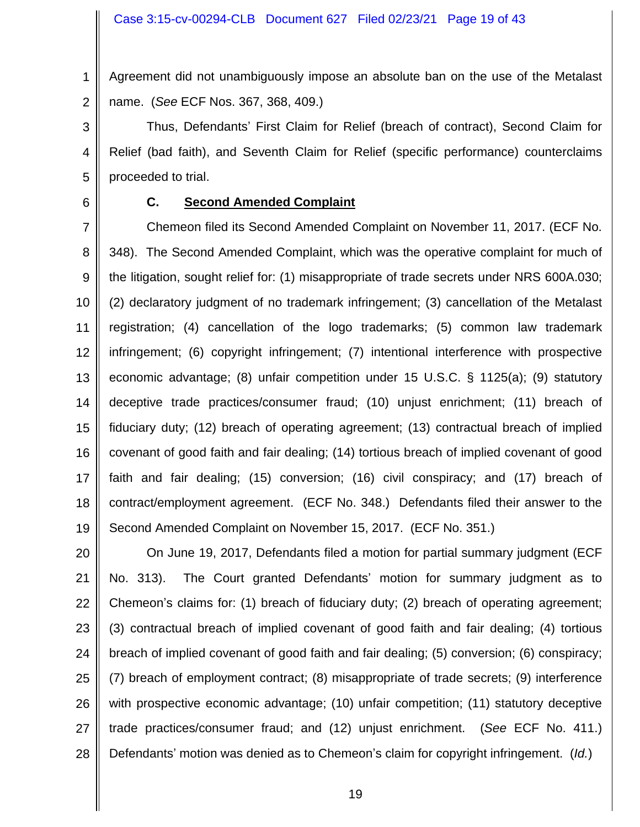1 2 Agreement did not unambiguously impose an absolute ban on the use of the Metalast name. (*See* ECF Nos. 367, 368, 409.)

3 4 5 Thus, Defendants' First Claim for Relief (breach of contract), Second Claim for Relief (bad faith), and Seventh Claim for Relief (specific performance) counterclaims proceeded to trial.

6

### **C. Second Amended Complaint**

7 8 9 10 11 12 13 14 15 16 17 18 19 Chemeon filed its Second Amended Complaint on November 11, 2017. (ECF No. 348). The Second Amended Complaint, which was the operative complaint for much of the litigation, sought relief for: (1) misappropriate of trade secrets under NRS 600A.030; (2) declaratory judgment of no trademark infringement; (3) cancellation of the Metalast registration; (4) cancellation of the logo trademarks; (5) common law trademark infringement; (6) copyright infringement; (7) intentional interference with prospective economic advantage; (8) unfair competition under 15 U.S.C. § 1125(a); (9) statutory deceptive trade practices/consumer fraud; (10) unjust enrichment; (11) breach of fiduciary duty; (12) breach of operating agreement; (13) contractual breach of implied covenant of good faith and fair dealing; (14) tortious breach of implied covenant of good faith and fair dealing; (15) conversion; (16) civil conspiracy; and (17) breach of contract/employment agreement. (ECF No. 348.) Defendants filed their answer to the Second Amended Complaint on November 15, 2017. (ECF No. 351.)

20 21 22 23 24 25 26 27 28 On June 19, 2017, Defendants filed a motion for partial summary judgment (ECF No. 313). The Court granted Defendants' motion for summary judgment as to Chemeon's claims for: (1) breach of fiduciary duty; (2) breach of operating agreement; (3) contractual breach of implied covenant of good faith and fair dealing; (4) tortious breach of implied covenant of good faith and fair dealing; (5) conversion; (6) conspiracy; (7) breach of employment contract; (8) misappropriate of trade secrets; (9) interference with prospective economic advantage; (10) unfair competition; (11) statutory deceptive trade practices/consumer fraud; and (12) unjust enrichment. (*See* ECF No. 411.) Defendants' motion was denied as to Chemeon's claim for copyright infringement. (*Id.*)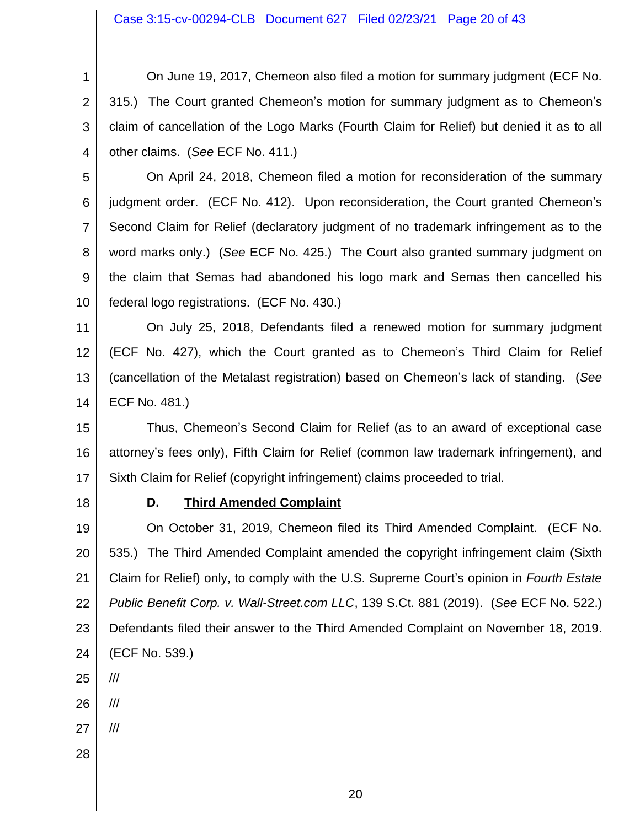Case 3:15-cv-00294-CLB Document 627 Filed 02/23/21 Page 20 of 43

1 2 3 4 On June 19, 2017, Chemeon also filed a motion for summary judgment (ECF No. 315.) The Court granted Chemeon's motion for summary judgment as to Chemeon's claim of cancellation of the Logo Marks (Fourth Claim for Relief) but denied it as to all other claims. (*See* ECF No. 411.)

5 6 7 8 9 10 On April 24, 2018, Chemeon filed a motion for reconsideration of the summary judgment order. (ECF No. 412). Upon reconsideration, the Court granted Chemeon's Second Claim for Relief (declaratory judgment of no trademark infringement as to the word marks only.) (*See* ECF No. 425.) The Court also granted summary judgment on the claim that Semas had abandoned his logo mark and Semas then cancelled his federal logo registrations. (ECF No. 430.)

11 12 13 14 On July 25, 2018, Defendants filed a renewed motion for summary judgment (ECF No. 427), which the Court granted as to Chemeon's Third Claim for Relief (cancellation of the Metalast registration) based on Chemeon's lack of standing. (*See* ECF No. 481.)

15 16 17 Thus, Chemeon's Second Claim for Relief (as to an award of exceptional case attorney's fees only), Fifth Claim for Relief (common law trademark infringement), and Sixth Claim for Relief (copyright infringement) claims proceeded to trial.

18

### **D. Third Amended Complaint**

19 20 21 22 23 24 On October 31, 2019, Chemeon filed its Third Amended Complaint. (ECF No. 535.) The Third Amended Complaint amended the copyright infringement claim (Sixth Claim for Relief) only, to comply with the U.S. Supreme Court's opinion in *Fourth Estate Public Benefit Corp. v. Wall-Street.com LLC*, 139 S.Ct. 881 (2019). (*See* ECF No. 522.) Defendants filed their answer to the Third Amended Complaint on November 18, 2019. (ECF No. 539.)

25

///

- 26 ///
- 27 ///
- 28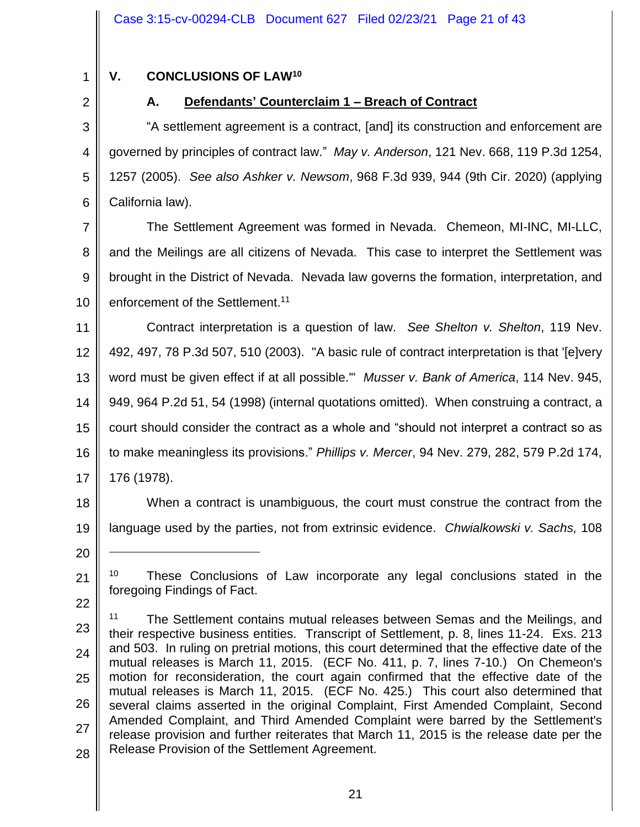1

# **V. CONCLUSIONS OF LAW<sup>10</sup>**

2

# **A. Defendants' Counterclaim 1 – Breach of Contract**

3 4 5 6 "A settlement agreement is a contract, [and] its construction and enforcement are governed by principles of contract law." *May v. Anderson*, 121 Nev. 668, 119 P.3d 1254, 1257 (2005). *See also Ashker v. Newsom*, 968 F.3d 939, 944 (9th Cir. 2020) (applying California law).

7 8 9 10 The Settlement Agreement was formed in Nevada. Chemeon, MI-INC, MI-LLC, and the Meilings are all citizens of Nevada. This case to interpret the Settlement was brought in the District of Nevada. Nevada law governs the formation, interpretation, and enforcement of the Settlement.<sup>11</sup>

11 12 13 14 15 16 17 Contract interpretation is a question of law. *See Shelton v. Shelton*, 119 Nev. 492, 497, 78 P.3d 507, 510 (2003). "A basic rule of contract interpretation is that '[e]very word must be given effect if at all possible.'" *Musser v. Bank of America*, 114 Nev. 945, 949, 964 P.2d 51, 54 (1998) (internal quotations omitted). When construing a contract, a court should consider the contract as a whole and "should not interpret a contract so as to make meaningless its provisions." *Phillips v. Mercer*, 94 Nev. 279, 282, 579 P.2d 174, 176 (1978).

18 19 When a contract is unambiguous, the court must construe the contract from the language used by the parties, not from extrinsic evidence. *Chwialkowski v. Sachs,* 108

20

21

22

23 24 25 26 27 28 <sup>11</sup> The Settlement contains mutual releases between Semas and the Meilings, and their respective business entities. Transcript of Settlement, p. 8, lines 11-24. Exs. 213 and 503. In ruling on pretrial motions, this court determined that the effective date of the mutual releases is March 11, 2015. (ECF No. 411, p. 7, lines 7-10.) On Chemeon's motion for reconsideration, the court again confirmed that the effective date of the mutual releases is March 11, 2015. (ECF No. 425.) This court also determined that several claims asserted in the original Complaint, First Amended Complaint, Second Amended Complaint, and Third Amended Complaint were barred by the Settlement's release provision and further reiterates that March 11, 2015 is the release date per the Release Provision of the Settlement Agreement.

<sup>&</sup>lt;sup>10</sup> These Conclusions of Law incorporate any legal conclusions stated in the foregoing Findings of Fact.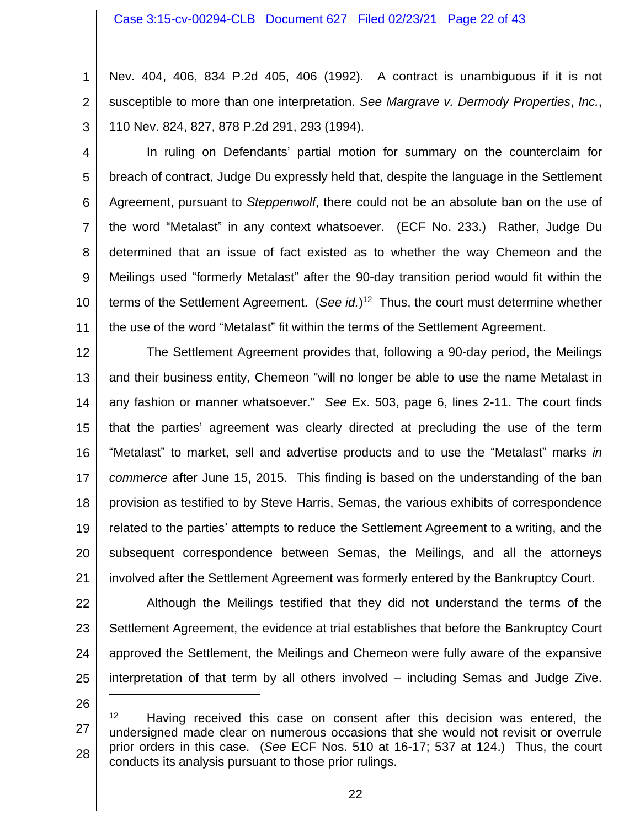1 2 3 Nev. 404, 406, 834 P.2d 405, 406 (1992). A contract is unambiguous if it is not susceptible to more than one interpretation. *See Margrave v. Dermody Properties*, *Inc.*, 110 Nev. 824, 827, 878 P.2d 291, 293 (1994).

4 5 6 7 8 9 10 11 In ruling on Defendants' partial motion for summary on the counterclaim for breach of contract, Judge Du expressly held that, despite the language in the Settlement Agreement, pursuant to *Steppenwolf*, there could not be an absolute ban on the use of the word "Metalast" in any context whatsoever. (ECF No. 233.) Rather, Judge Du determined that an issue of fact existed as to whether the way Chemeon and the Meilings used "formerly Metalast" after the 90-day transition period would fit within the terms of the Settlement Agreement. (*See id.*) 12 Thus, the court must determine whether the use of the word "Metalast" fit within the terms of the Settlement Agreement.

12 13 14 15 16 17 18 19 20 21 The Settlement Agreement provides that, following a 90-day period, the Meilings and their business entity, Chemeon "will no longer be able to use the name Metalast in any fashion or manner whatsoever." *See* Ex. 503, page 6, lines 2-11. The court finds that the parties' agreement was clearly directed at precluding the use of the term "Metalast" to market, sell and advertise products and to use the "Metalast" marks *in commerce* after June 15, 2015. This finding is based on the understanding of the ban provision as testified to by Steve Harris, Semas, the various exhibits of correspondence related to the parties' attempts to reduce the Settlement Agreement to a writing, and the subsequent correspondence between Semas, the Meilings, and all the attorneys involved after the Settlement Agreement was formerly entered by the Bankruptcy Court.

22 23 24 25 Although the Meilings testified that they did not understand the terms of the Settlement Agreement, the evidence at trial establishes that before the Bankruptcy Court approved the Settlement, the Meilings and Chemeon were fully aware of the expansive interpretation of that term by all others involved – including Semas and Judge Zive.

<sup>27</sup> 28 <sup>12</sup> Having received this case on consent after this decision was entered, the undersigned made clear on numerous occasions that she would not revisit or overrule prior orders in this case. (*See* ECF Nos. 510 at 16-17; 537 at 124.) Thus, the court conducts its analysis pursuant to those prior rulings.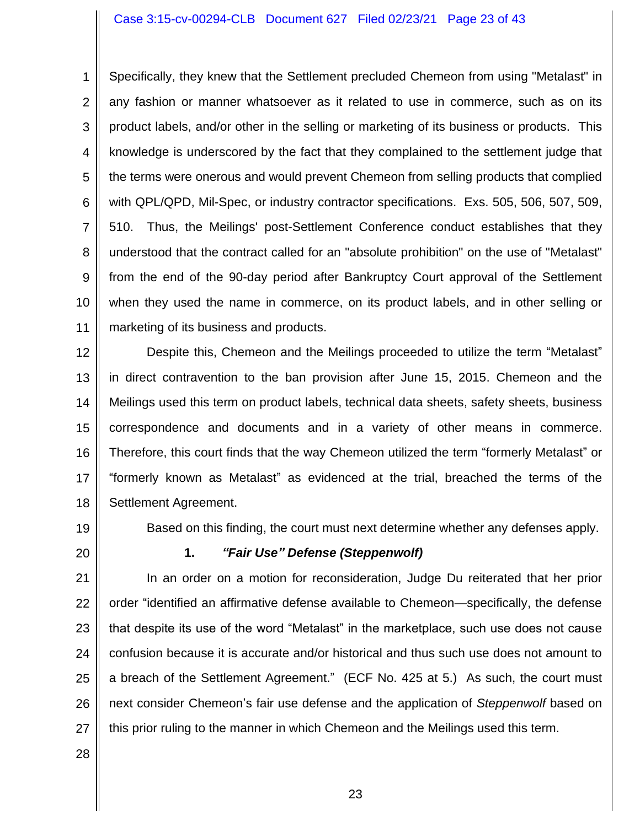#### Case 3:15-cv-00294-CLB Document 627 Filed 02/23/21 Page 23 of 43

1 2 3 4 5 6 7 8 9 10 11 Specifically, they knew that the Settlement precluded Chemeon from using "Metalast" in any fashion or manner whatsoever as it related to use in commerce, such as on its product labels, and/or other in the selling or marketing of its business or products. This knowledge is underscored by the fact that they complained to the settlement judge that the terms were onerous and would prevent Chemeon from selling products that complied with QPL/QPD, Mil-Spec, or industry contractor specifications. Exs. 505, 506, 507, 509, 510. Thus, the Meilings' post-Settlement Conference conduct establishes that they understood that the contract called for an "absolute prohibition" on the use of "Metalast" from the end of the 90-day period after Bankruptcy Court approval of the Settlement when they used the name in commerce, on its product labels, and in other selling or marketing of its business and products.

12 13 14 15 16 17 18 Despite this, Chemeon and the Meilings proceeded to utilize the term "Metalast" in direct contravention to the ban provision after June 15, 2015. Chemeon and the Meilings used this term on product labels, technical data sheets, safety sheets, business correspondence and documents and in a variety of other means in commerce. Therefore, this court finds that the way Chemeon utilized the term "formerly Metalast" or "formerly known as Metalast" as evidenced at the trial, breached the terms of the Settlement Agreement.

19

Based on this finding, the court must next determine whether any defenses apply.

20

### **1.** *"Fair Use" Defense (Steppenwolf)*

21 22 23 24 25 26 27 In an order on a motion for reconsideration, Judge Du reiterated that her prior order "identified an affirmative defense available to Chemeon—specifically, the defense that despite its use of the word "Metalast" in the marketplace, such use does not cause confusion because it is accurate and/or historical and thus such use does not amount to a breach of the Settlement Agreement." (ECF No. 425 at 5.) As such, the court must next consider Chemeon's fair use defense and the application of *Steppenwolf* based on this prior ruling to the manner in which Chemeon and the Meilings used this term.

28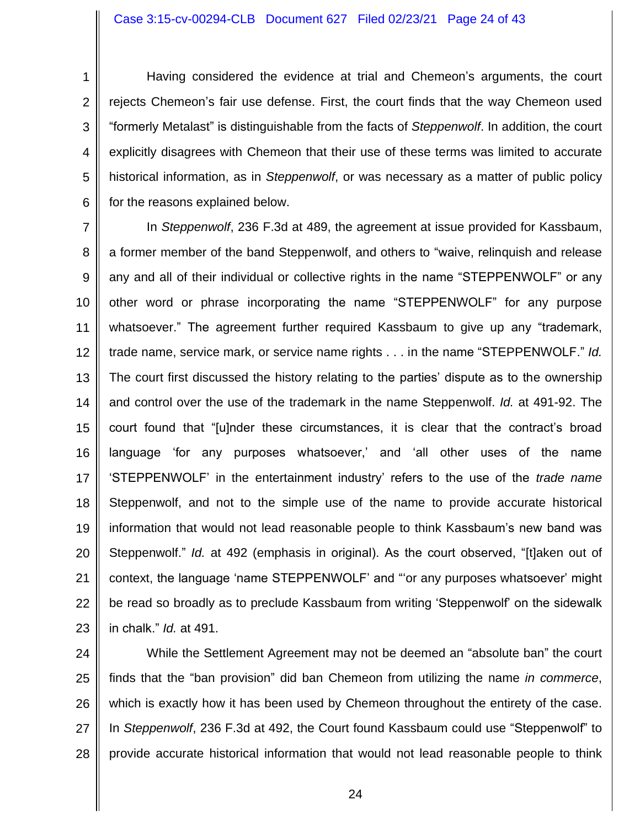#### Case 3:15-cv-00294-CLB Document 627 Filed 02/23/21 Page 24 of 43

1 2 3 4 5 6 Having considered the evidence at trial and Chemeon's arguments, the court rejects Chemeon's fair use defense. First, the court finds that the way Chemeon used "formerly Metalast" is distinguishable from the facts of *Steppenwolf*. In addition, the court explicitly disagrees with Chemeon that their use of these terms was limited to accurate historical information, as in *Steppenwolf*, or was necessary as a matter of public policy for the reasons explained below.

7 8 9 10 11 12 13 14 15 16 17 18 19 20 21 22 23 In *Steppenwolf*, 236 F.3d at 489, the agreement at issue provided for Kassbaum, a former member of the band Steppenwolf, and others to "waive, relinquish and release any and all of their individual or collective rights in the name "STEPPENWOLF" or any other word or phrase incorporating the name "STEPPENWOLF" for any purpose whatsoever." The agreement further required Kassbaum to give up any "trademark, trade name, service mark, or service name rights . . . in the name "STEPPENWOLF." *Id.* The court first discussed the history relating to the parties' dispute as to the ownership and control over the use of the trademark in the name Steppenwolf. *Id.* at 491-92. The court found that "[u]nder these circumstances, it is clear that the contract's broad language 'for any purposes whatsoever,' and 'all other uses of the name 'STEPPENWOLF' in the entertainment industry' refers to the use of the *trade name* Steppenwolf, and not to the simple use of the name to provide accurate historical information that would not lead reasonable people to think Kassbaum's new band was Steppenwolf." *Id.* at 492 (emphasis in original). As the court observed, "[t]aken out of context, the language 'name STEPPENWOLF' and "'or any purposes whatsoever' might be read so broadly as to preclude Kassbaum from writing 'Steppenwolf' on the sidewalk in chalk." *Id.* at 491.

24 25 26 27 28 While the Settlement Agreement may not be deemed an "absolute ban" the court finds that the "ban provision" did ban Chemeon from utilizing the name *in commerce*, which is exactly how it has been used by Chemeon throughout the entirety of the case. In *Steppenwolf*, 236 F.3d at 492, the Court found Kassbaum could use "Steppenwolf" to provide accurate historical information that would not lead reasonable people to think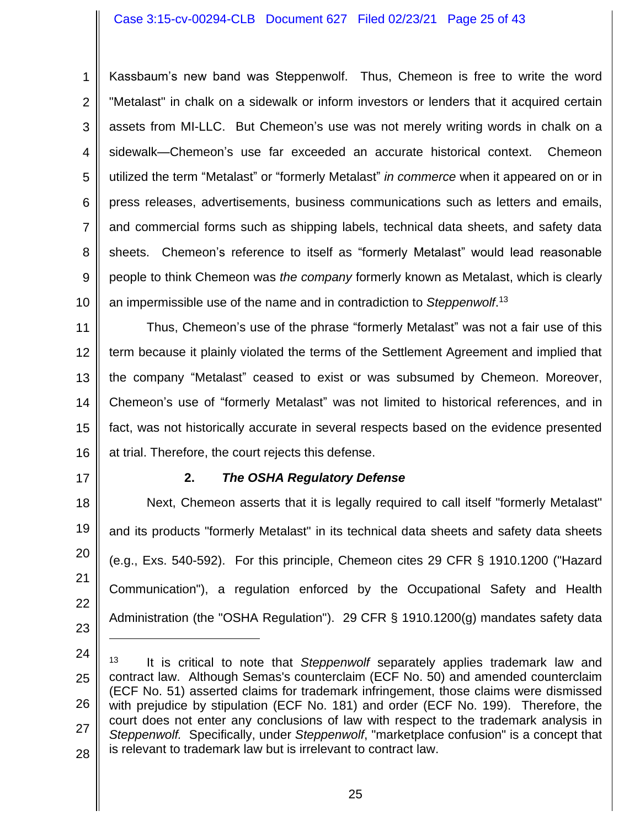#### Case 3:15-cv-00294-CLB Document 627 Filed 02/23/21 Page 25 of 43

1 2 3 4 5 6 7 8 9 10 Kassbaum's new band was Steppenwolf. Thus, Chemeon is free to write the word "Metalast" in chalk on a sidewalk or inform investors or lenders that it acquired certain assets from MI-LLC. But Chemeon's use was not merely writing words in chalk on a sidewalk—Chemeon's use far exceeded an accurate historical context. Chemeon utilized the term "Metalast" or "formerly Metalast" *in commerce* when it appeared on or in press releases, advertisements, business communications such as letters and emails, and commercial forms such as shipping labels, technical data sheets, and safety data sheets. Chemeon's reference to itself as "formerly Metalast" would lead reasonable people to think Chemeon was *the company* formerly known as Metalast, which is clearly an impermissible use of the name and in contradiction to *Steppenwolf*. 13

11 12 13 14 15 16 Thus, Chemeon's use of the phrase "formerly Metalast" was not a fair use of this term because it plainly violated the terms of the Settlement Agreement and implied that the company "Metalast" ceased to exist or was subsumed by Chemeon. Moreover, Chemeon's use of "formerly Metalast" was not limited to historical references, and in fact, was not historically accurate in several respects based on the evidence presented at trial. Therefore, the court rejects this defense.

17

#### **2.** *The OSHA Regulatory Defense*

18 19 20 21 22 23 Next, Chemeon asserts that it is legally required to call itself "formerly Metalast" and its products "formerly Metalast" in its technical data sheets and safety data sheets (e.g., Exs. 540-592). For this principle, Chemeon cites 29 CFR § 1910.1200 ("Hazard Communication"), a regulation enforced by the Occupational Safety and Health Administration (the "OSHA Regulation"). 29 CFR § 1910.1200(g) mandates safety data

<sup>24</sup> 25 26 27 28 <sup>13</sup> It is critical to note that *Steppenwolf* separately applies trademark law and contract law. Although Semas's counterclaim (ECF No. 50) and amended counterclaim (ECF No. 51) asserted claims for trademark infringement, those claims were dismissed with prejudice by stipulation (ECF No. 181) and order (ECF No. 199). Therefore, the court does not enter any conclusions of law with respect to the trademark analysis in *Steppenwolf.* Specifically, under *Steppenwolf*, "marketplace confusion" is a concept that is relevant to trademark law but is irrelevant to contract law.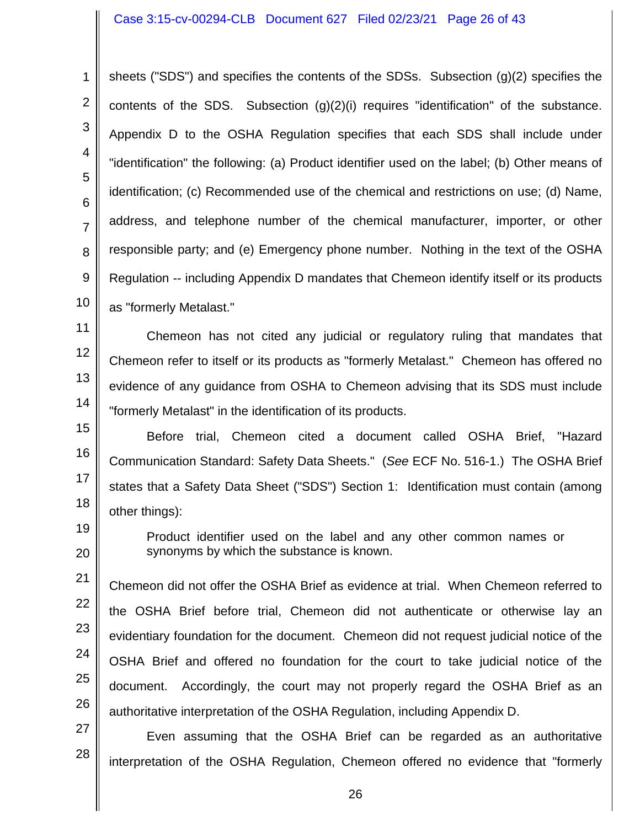#### Case 3:15-cv-00294-CLB Document 627 Filed 02/23/21 Page 26 of 43

1 2 3 4 5 6 7 8 9 10 sheets ("SDS") and specifies the contents of the SDSs. Subsection (g)(2) specifies the contents of the SDS. Subsection  $(g)(2)(i)$  requires "identification" of the substance. Appendix D to the OSHA Regulation specifies that each SDS shall include under "identification" the following: (a) Product identifier used on the label; (b) Other means of identification; (c) Recommended use of the chemical and restrictions on use; (d) Name, address, and telephone number of the chemical manufacturer, importer, or other responsible party; and (e) Emergency phone number. Nothing in the text of the OSHA Regulation -- including Appendix D mandates that Chemeon identify itself or its products as "formerly Metalast."

11 12 13 14 Chemeon has not cited any judicial or regulatory ruling that mandates that Chemeon refer to itself or its products as "formerly Metalast." Chemeon has offered no evidence of any guidance from OSHA to Chemeon advising that its SDS must include "formerly Metalast" in the identification of its products.

15 16 17 18 Before trial, Chemeon cited a document called OSHA Brief, "Hazard Communication Standard: Safety Data Sheets." (*See* ECF No. 516-1.) The OSHA Brief states that a Safety Data Sheet ("SDS") Section 1: Identification must contain (among other things):

> Product identifier used on the label and any other common names or synonyms by which the substance is known.

19

20

21 22 23 24 25 26 Chemeon did not offer the OSHA Brief as evidence at trial. When Chemeon referred to the OSHA Brief before trial, Chemeon did not authenticate or otherwise lay an evidentiary foundation for the document. Chemeon did not request judicial notice of the OSHA Brief and offered no foundation for the court to take judicial notice of the document. Accordingly, the court may not properly regard the OSHA Brief as an authoritative interpretation of the OSHA Regulation, including Appendix D.

27 28 Even assuming that the OSHA Brief can be regarded as an authoritative interpretation of the OSHA Regulation, Chemeon offered no evidence that "formerly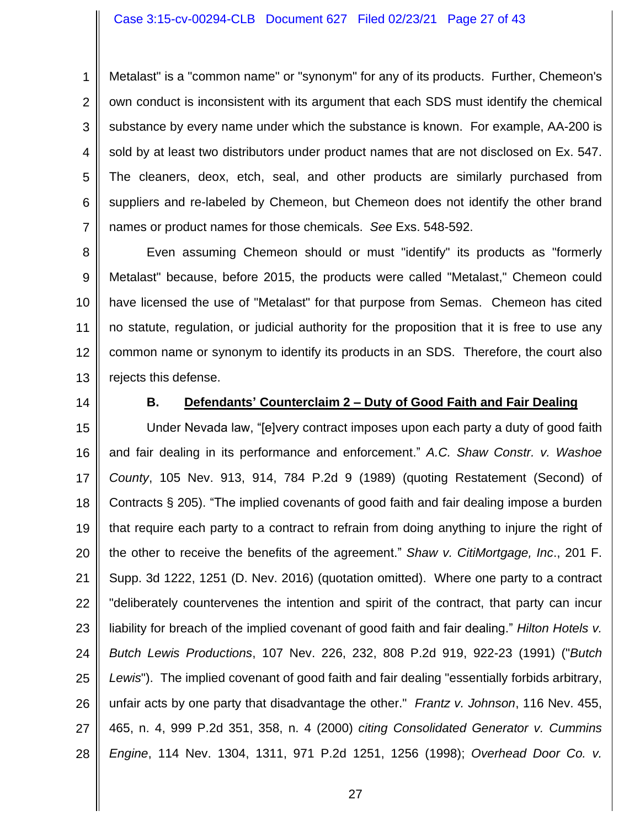#### Case 3:15-cv-00294-CLB Document 627 Filed 02/23/21 Page 27 of 43

1 2 3 4 5 6 7 Metalast" is a "common name" or "synonym" for any of its products. Further, Chemeon's own conduct is inconsistent with its argument that each SDS must identify the chemical substance by every name under which the substance is known. For example, AA-200 is sold by at least two distributors under product names that are not disclosed on Ex. 547. The cleaners, deox, etch, seal, and other products are similarly purchased from suppliers and re-labeled by Chemeon, but Chemeon does not identify the other brand names or product names for those chemicals. *See* Exs. 548-592.

8 9 10 11 12 13 Even assuming Chemeon should or must "identify" its products as "formerly Metalast" because, before 2015, the products were called "Metalast," Chemeon could have licensed the use of "Metalast" for that purpose from Semas. Chemeon has cited no statute, regulation, or judicial authority for the proposition that it is free to use any common name or synonym to identify its products in an SDS. Therefore, the court also rejects this defense.

14

#### **B. Defendants' Counterclaim 2 – Duty of Good Faith and Fair Dealing**

15 16 17 18 19 20 21 22 23 24 25 26 27 28 Under Nevada law, "[e]very contract imposes upon each party a duty of good faith and fair dealing in its performance and enforcement." *A.C. Shaw Constr. v. Washoe County*, 105 Nev. 913, 914, 784 P.2d 9 (1989) (quoting Restatement (Second) of Contracts § 205). "The implied covenants of good faith and fair dealing impose a burden that require each party to a contract to refrain from doing anything to injure the right of the other to receive the benefits of the agreement." *Shaw v. CitiMortgage, Inc*., 201 F. Supp. 3d 1222, 1251 (D. Nev. 2016) (quotation omitted). Where one party to a contract "deliberately countervenes the intention and spirit of the contract, that party can incur liability for breach of the implied covenant of good faith and fair dealing." *Hilton Hotels v. Butch Lewis Productions*, 107 Nev. 226, 232, 808 P.2d 919, 922-23 (1991) ("*Butch Lewis*"). The implied covenant of good faith and fair dealing "essentially forbids arbitrary, unfair acts by one party that disadvantage the other." *Frantz v. Johnson*, 116 Nev. 455, 465, n. 4, 999 P.2d 351, 358, n. 4 (2000) *citing Consolidated Generator v. Cummins Engine*, 114 Nev. 1304, 1311, 971 P.2d 1251, 1256 (1998); *Overhead Door Co. v.*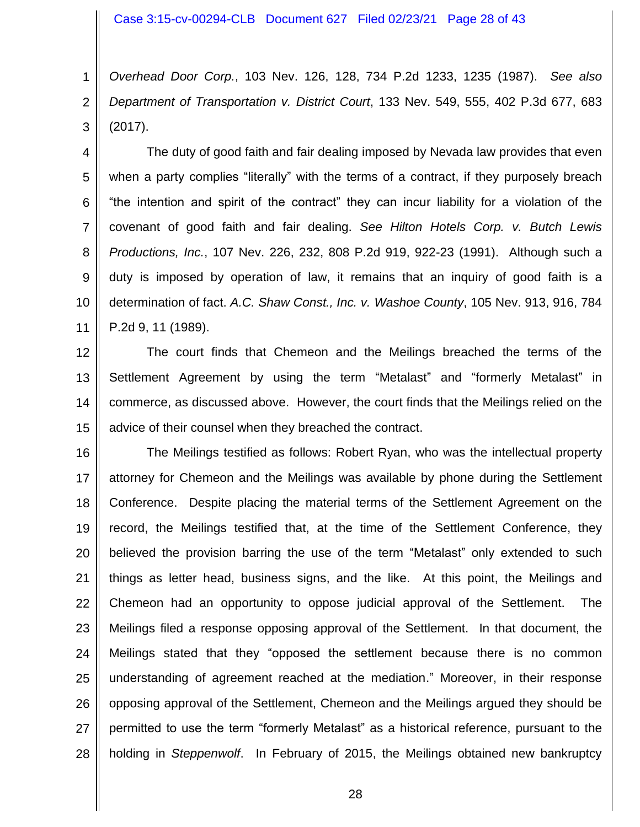1 2 3 *Overhead Door Corp.*, 103 Nev. 126, 128, 734 P.2d 1233, 1235 (1987). *See also Department of Transportation v. District Court*, 133 Nev. 549, 555, 402 P.3d 677, 683 (2017).

4 5 6 7 8 9 10 11 The duty of good faith and fair dealing imposed by Nevada law provides that even when a party complies "literally" with the terms of a contract, if they purposely breach "the intention and spirit of the contract" they can incur liability for a violation of the covenant of good faith and fair dealing. *See Hilton Hotels Corp. v. Butch Lewis Productions, Inc.*, 107 Nev. 226, 232, 808 P.2d 919, 922-23 (1991). Although such a duty is imposed by operation of law, it remains that an inquiry of good faith is a determination of fact. *A.C. Shaw Const., Inc. v. Washoe County*, 105 Nev. 913, 916, 784 P.2d 9, 11 (1989).

12 13 14 15 The court finds that Chemeon and the Meilings breached the terms of the Settlement Agreement by using the term "Metalast" and "formerly Metalast" in commerce, as discussed above. However, the court finds that the Meilings relied on the advice of their counsel when they breached the contract.

16 17 18 19 20 21 22 23 24 25 26 27 28 The Meilings testified as follows: Robert Ryan, who was the intellectual property attorney for Chemeon and the Meilings was available by phone during the Settlement Conference. Despite placing the material terms of the Settlement Agreement on the record, the Meilings testified that, at the time of the Settlement Conference, they believed the provision barring the use of the term "Metalast" only extended to such things as letter head, business signs, and the like. At this point, the Meilings and Chemeon had an opportunity to oppose judicial approval of the Settlement. The Meilings filed a response opposing approval of the Settlement. In that document, the Meilings stated that they "opposed the settlement because there is no common understanding of agreement reached at the mediation." Moreover, in their response opposing approval of the Settlement, Chemeon and the Meilings argued they should be permitted to use the term "formerly Metalast" as a historical reference, pursuant to the holding in *Steppenwolf*. In February of 2015, the Meilings obtained new bankruptcy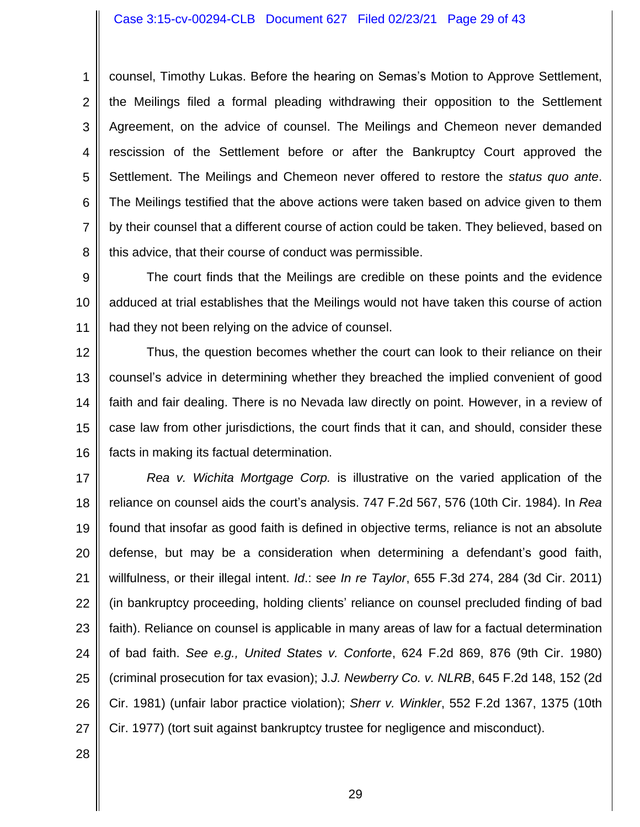#### Case 3:15-cv-00294-CLB Document 627 Filed 02/23/21 Page 29 of 43

1 2 3 4 5 6 7 8 counsel, Timothy Lukas. Before the hearing on Semas's Motion to Approve Settlement, the Meilings filed a formal pleading withdrawing their opposition to the Settlement Agreement, on the advice of counsel. The Meilings and Chemeon never demanded rescission of the Settlement before or after the Bankruptcy Court approved the Settlement. The Meilings and Chemeon never offered to restore the *status quo ante*. The Meilings testified that the above actions were taken based on advice given to them by their counsel that a different course of action could be taken. They believed, based on this advice, that their course of conduct was permissible.

9 10 11 The court finds that the Meilings are credible on these points and the evidence adduced at trial establishes that the Meilings would not have taken this course of action had they not been relying on the advice of counsel.

12 13 14 15 16 Thus, the question becomes whether the court can look to their reliance on their counsel's advice in determining whether they breached the implied convenient of good faith and fair dealing. There is no Nevada law directly on point. However, in a review of case law from other jurisdictions, the court finds that it can, and should, consider these facts in making its factual determination.

17 18 19 20 21 22 23 24 25 26 27 *Rea v. Wichita Mortgage Corp.* is illustrative on the varied application of the reliance on counsel aids the court's analysis. 747 F.2d 567, 576 (10th Cir. 1984). In *Rea* found that insofar as good faith is defined in objective terms, reliance is not an absolute defense, but may be a consideration when determining a defendant's good faith, willfulness, or their illegal intent. *Id*.: s*ee In re Taylor*, 655 F.3d 274, 284 (3d Cir. 2011) (in bankruptcy proceeding, holding clients' reliance on counsel precluded finding of bad faith). Reliance on counsel is applicable in many areas of law for a factual determination of bad faith. *See e.g., United States v. Conforte*, 624 F.2d 869, 876 (9th Cir. 1980) (criminal prosecution for tax evasion); J*.J. Newberry Co. v. NLRB*, 645 F.2d 148, 152 (2d Cir. 1981) (unfair labor practice violation); *Sherr v. Winkler*, 552 F.2d 1367, 1375 (10th Cir. 1977) (tort suit against bankruptcy trustee for negligence and misconduct).

28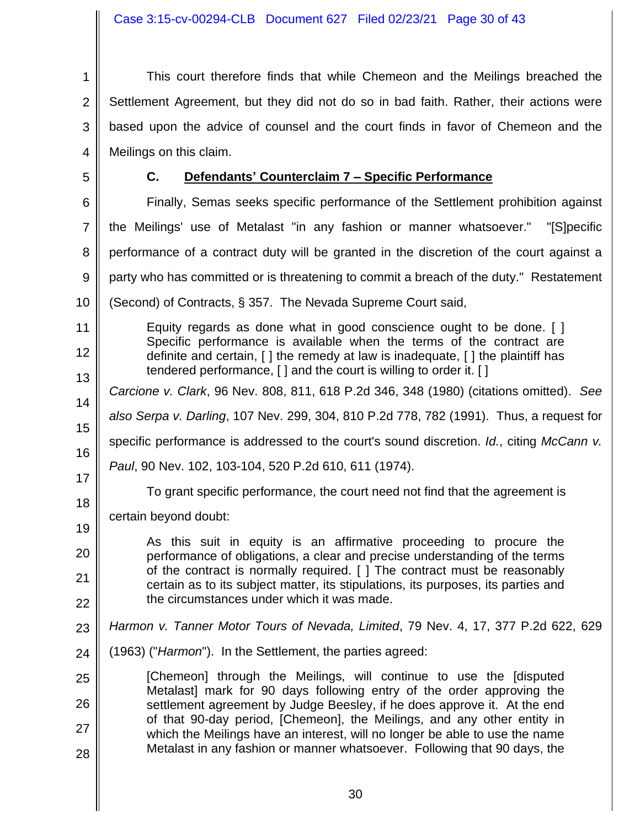$\parallel$ 

| $\mathbf 1$    | This court therefore finds that while Chemeon and the Meilings breached the                                                                                    |
|----------------|----------------------------------------------------------------------------------------------------------------------------------------------------------------|
| $\overline{2}$ | Settlement Agreement, but they did not do so in bad faith. Rather, their actions were                                                                          |
| 3              | based upon the advice of counsel and the court finds in favor of Chemeon and the                                                                               |
| 4              | Meilings on this claim.                                                                                                                                        |
| 5              | C.<br>Defendants' Counterclaim 7 - Specific Performance                                                                                                        |
| 6              | Finally, Semas seeks specific performance of the Settlement prohibition against                                                                                |
| 7              | the Meilings' use of Metalast "in any fashion or manner whatsoever."<br>"[S]pecific                                                                            |
| 8              | performance of a contract duty will be granted in the discretion of the court against a                                                                        |
| 9              | party who has committed or is threatening to commit a breach of the duty." Restatement                                                                         |
| 10             | (Second) of Contracts, § 357. The Nevada Supreme Court said,                                                                                                   |
| 11             | Equity regards as done what in good conscience ought to be done. []                                                                                            |
| 12             | Specific performance is available when the terms of the contract are<br>definite and certain, [] the remedy at law is inadequate, [] the plaintiff has         |
| 13             | tendered performance, [ ] and the court is willing to order it. [ ]                                                                                            |
| 14             | Carcione v. Clark, 96 Nev. 808, 811, 618 P.2d 346, 348 (1980) (citations omitted). See                                                                         |
| 15             | also Serpa v. Darling, 107 Nev. 299, 304, 810 P.2d 778, 782 (1991). Thus, a request for                                                                        |
| 16             | specific performance is addressed to the court's sound discretion. Id., citing McCann v.                                                                       |
| 17             | Paul, 90 Nev. 102, 103-104, 520 P.2d 610, 611 (1974).                                                                                                          |
| 18             | To grant specific performance, the court need not find that the agreement is                                                                                   |
| 19             | certain beyond doubt:                                                                                                                                          |
| 20             | As this suit in equity is an affirmative proceeding to procure the<br>performance of obligations, a clear and precise understanding of the terms               |
| 21             | of the contract is normally required. [ ] The contract must be reasonably<br>certain as to its subject matter, its stipulations, its purposes, its parties and |
| 22             | the circumstances under which it was made.                                                                                                                     |
| 23             | Harmon v. Tanner Motor Tours of Nevada, Limited, 79 Nev. 4, 17, 377 P.2d 622, 629                                                                              |
| 24             | (1963) ("Harmon"). In the Settlement, the parties agreed:                                                                                                      |
| 25             | [Chemeon] through the Meilings, will continue to use the [disputed                                                                                             |
| 26             | Metalast] mark for 90 days following entry of the order approving the<br>settlement agreement by Judge Beesley, if he does approve it. At the end              |
| 27             | of that 90-day period, [Chemeon], the Meilings, and any other entity in<br>which the Meilings have an interest, will no longer be able to use the name         |
| 28             | Metalast in any fashion or manner whatsoever. Following that 90 days, the                                                                                      |
|                |                                                                                                                                                                |
|                |                                                                                                                                                                |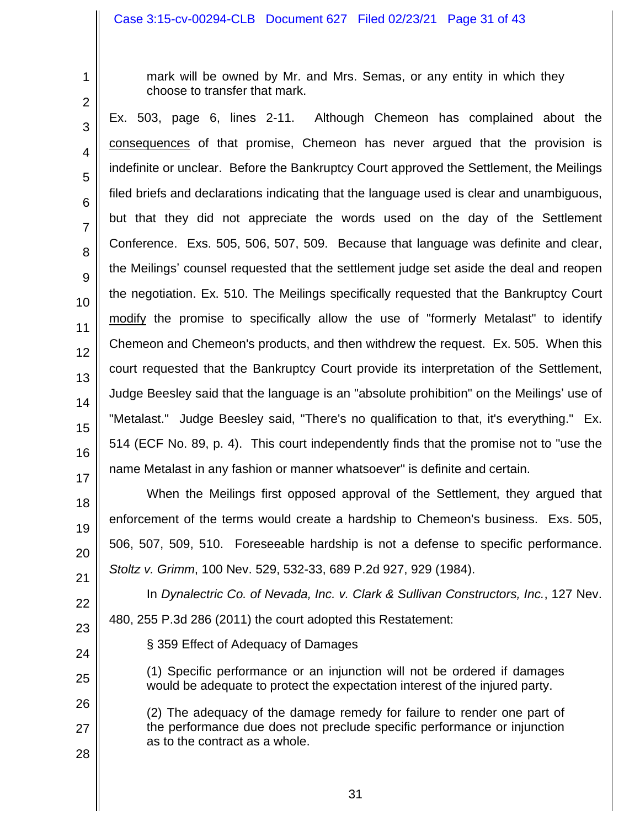#### Case 3:15-cv-00294-CLB Document 627 Filed 02/23/21 Page 31 of 43

2

1

mark will be owned by Mr. and Mrs. Semas, or any entity in which they choose to transfer that mark.

3 4 5 6 7 8 9 10 11 12 13 14 15 16 17 Ex. 503, page 6, lines 2-11. Although Chemeon has complained about the consequences of that promise, Chemeon has never argued that the provision is indefinite or unclear. Before the Bankruptcy Court approved the Settlement, the Meilings filed briefs and declarations indicating that the language used is clear and unambiguous, but that they did not appreciate the words used on the day of the Settlement Conference. Exs. 505, 506, 507, 509. Because that language was definite and clear, the Meilings' counsel requested that the settlement judge set aside the deal and reopen the negotiation. Ex. 510. The Meilings specifically requested that the Bankruptcy Court modify the promise to specifically allow the use of "formerly Metalast" to identify Chemeon and Chemeon's products, and then withdrew the request. Ex. 505. When this court requested that the Bankruptcy Court provide its interpretation of the Settlement, Judge Beesley said that the language is an "absolute prohibition" on the Meilings' use of "Metalast." Judge Beesley said, "There's no qualification to that, it's everything." Ex. 514 (ECF No. 89, p. 4). This court independently finds that the promise not to "use the name Metalast in any fashion or manner whatsoever" is definite and certain.

When the Meilings first opposed approval of the Settlement, they argued that enforcement of the terms would create a hardship to Chemeon's business. Exs. 505, 506, 507, 509, 510. Foreseeable hardship is not a defense to specific performance. *Stoltz v. Grimm*, 100 Nev. 529, 532-33, 689 P.2d 927, 929 (1984).

21 22

24

25

26

27

28

18

19

20

23 480, 255 P.3d 286 (2011) the court adopted this Restatement:

§ 359 Effect of Adequacy of Damages

(1) Specific performance or an injunction will not be ordered if damages would be adequate to protect the expectation interest of the injured party.

In *Dynalectric Co. of Nevada, Inc. v. Clark & Sullivan Constructors, Inc.*, 127 Nev.

(2) The adequacy of the damage remedy for failure to render one part of the performance due does not preclude specific performance or injunction as to the contract as a whole.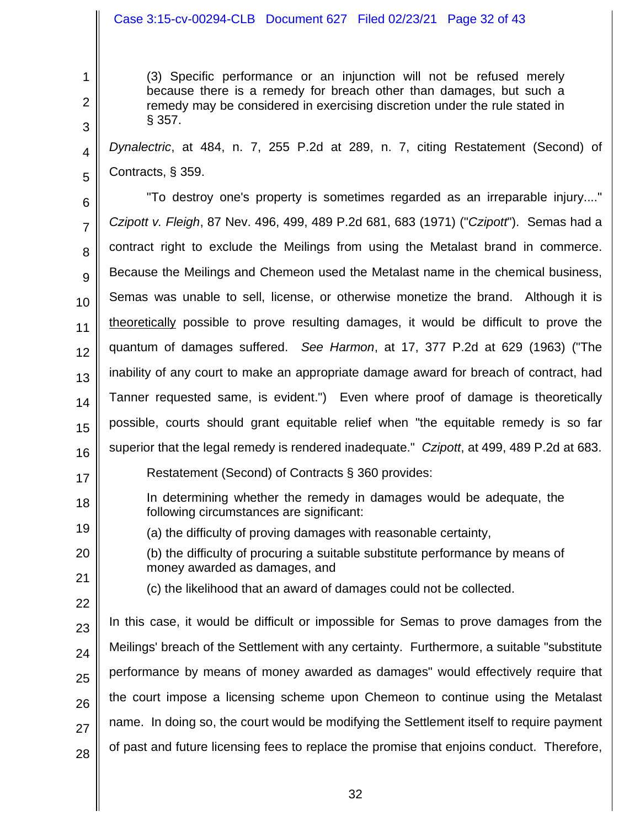# Case 3:15-cv-00294-CLB Document 627 Filed 02/23/21 Page 32 of 43

(3) Specific performance or an injunction will not be refused merely because there is a remedy for breach other than damages, but such a remedy may be considered in exercising discretion under the rule stated in § 357.

4 5 *Dynalectric*, at 484, n. 7, 255 P.2d at 289, n. 7, citing Restatement (Second) of Contracts, § 359.

6 7 8 9 10 11 12 13 14 15 16 17 18 "To destroy one's property is sometimes regarded as an irreparable injury...." *Czipott v. Fleigh*, 87 Nev. 496, 499, 489 P.2d 681, 683 (1971) ("*Czipott*"). Semas had a contract right to exclude the Meilings from using the Metalast brand in commerce. Because the Meilings and Chemeon used the Metalast name in the chemical business, Semas was unable to sell, license, or otherwise monetize the brand. Although it is theoretically possible to prove resulting damages, it would be difficult to prove the quantum of damages suffered. *See Harmon*, at 17, 377 P.2d at 629 (1963) ("The inability of any court to make an appropriate damage award for breach of contract, had Tanner requested same, is evident.") Even where proof of damage is theoretically possible, courts should grant equitable relief when "the equitable remedy is so far superior that the legal remedy is rendered inadequate." *Czipott*, at 499, 489 P.2d at 683. Restatement (Second) of Contracts § 360 provides: In determining whether the remedy in damages would be adequate, the following circumstances are significant:

- (a) the difficulty of proving damages with reasonable certainty,
- 20 21 (b) the difficulty of procuring a suitable substitute performance by means of money awarded as damages, and
- 22

19

1

2

3

(c) the likelihood that an award of damages could not be collected.

23 24 25 26 27 28 In this case, it would be difficult or impossible for Semas to prove damages from the Meilings' breach of the Settlement with any certainty. Furthermore, a suitable "substitute performance by means of money awarded as damages" would effectively require that the court impose a licensing scheme upon Chemeon to continue using the Metalast name. In doing so, the court would be modifying the Settlement itself to require payment of past and future licensing fees to replace the promise that enjoins conduct. Therefore,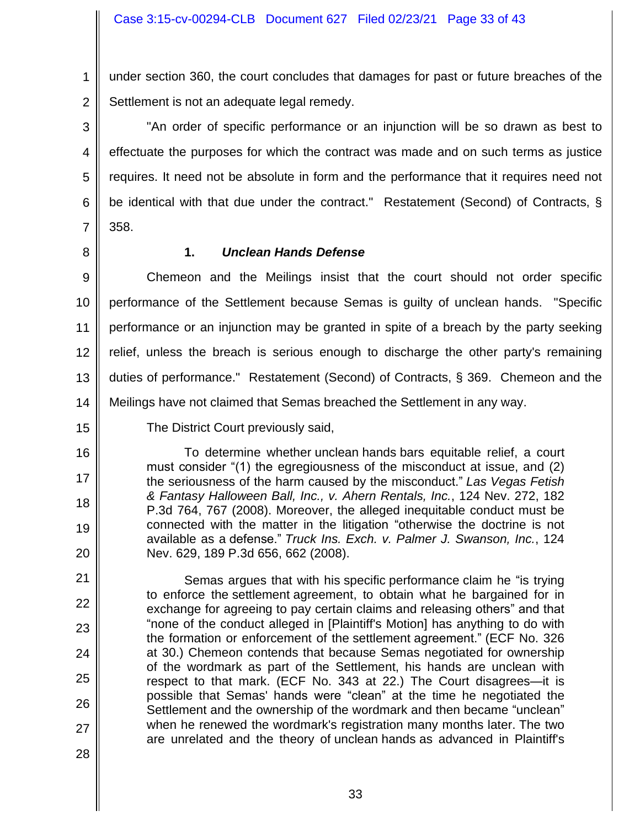1 2 under section 360, the court concludes that damages for past or future breaches of the Settlement is not an adequate legal remedy.

3 4 5 6 7 "An order of specific performance or an injunction will be so drawn as best to effectuate the purposes for which the contract was made and on such terms as justice requires. It need not be absolute in form and the performance that it requires need not be identical with that due under the contract." Restatement (Second) of Contracts, § 358.

8

16

17

18

19

20

21

22

23

24

25

26

27

28

# **1.** *Unclean Hands Defense*

9 10 11 12 13 14 Chemeon and the Meilings insist that the court should not order specific performance of the Settlement because Semas is guilty of unclean hands. "Specific performance or an injunction may be granted in spite of a breach by the party seeking relief, unless the breach is serious enough to discharge the other party's remaining duties of performance." Restatement (Second) of Contracts, § 369. Chemeon and the Meilings have not claimed that Semas breached the Settlement in any way.

15

The District Court previously said,

To determine whether unclean hands bars equitable relief, a court must consider "(1) the egregiousness of the misconduct at issue, and (2) the seriousness of the harm caused by the misconduct." *Las Vegas Fetish & Fantasy Halloween Ball, Inc., v. Ahern Rentals, Inc.*, 124 Nev. 272, 182 P.3d 764, 767 (2008). Moreover, the alleged inequitable conduct must be connected with the matter in the litigation "otherwise the doctrine is not available as a defense." *Truck Ins. Exch. v. Palmer J. Swanson, Inc.*, 124 Nev. 629, 189 P.3d 656, 662 (2008).

Semas argues that with his specific performance claim he "is trying to enforce the settlement agreement, to obtain what he bargained for in exchange for agreeing to pay certain claims and releasing others" and that "none of the conduct alleged in [Plaintiff's Motion] has anything to do with the formation or enforcement of the settlement agreement." (ECF No. 326 at 30.) Chemeon contends that because Semas negotiated for ownership of the wordmark as part of the Settlement, his hands are unclean with respect to that mark. (ECF No. 343 at 22.) The Court disagrees—it is possible that Semas' hands were "clean" at the time he negotiated the Settlement and the ownership of the wordmark and then became "unclean" when he renewed the wordmark's registration many months later. The two are unrelated and the theory of unclean hands as advanced in Plaintiff's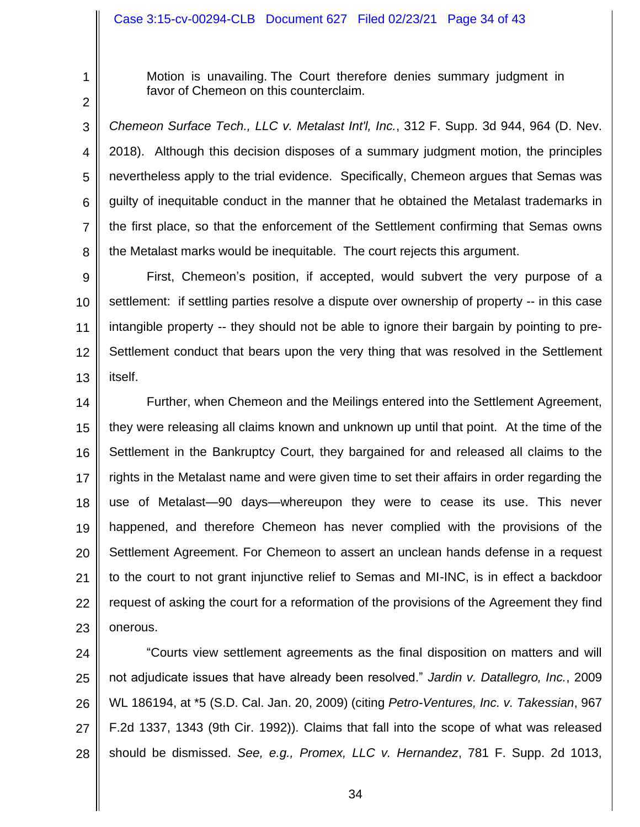2

1

Motion is unavailing. The Court therefore denies summary judgment in favor of Chemeon on this counterclaim.

3 4 5 6 7 8 *Chemeon Surface Tech., LLC v. Metalast Int'l, Inc.*, 312 F. Supp. 3d 944, 964 (D. Nev. 2018). Although this decision disposes of a summary judgment motion, the principles nevertheless apply to the trial evidence. Specifically, Chemeon argues that Semas was guilty of inequitable conduct in the manner that he obtained the Metalast trademarks in the first place, so that the enforcement of the Settlement confirming that Semas owns the Metalast marks would be inequitable. The court rejects this argument.

9 10 11 12 13 First, Chemeon's position, if accepted, would subvert the very purpose of a settlement: if settling parties resolve a dispute over ownership of property -- in this case intangible property -- they should not be able to ignore their bargain by pointing to pre-Settlement conduct that bears upon the very thing that was resolved in the Settlement itself.

14 15 16 17 18 19 20 21 22 23 Further, when Chemeon and the Meilings entered into the Settlement Agreement, they were releasing all claims known and unknown up until that point. At the time of the Settlement in the Bankruptcy Court, they bargained for and released all claims to the rights in the Metalast name and were given time to set their affairs in order regarding the use of Metalast—90 days—whereupon they were to cease its use. This never happened, and therefore Chemeon has never complied with the provisions of the Settlement Agreement. For Chemeon to assert an unclean hands defense in a request to the court to not grant injunctive relief to Semas and MI-INC, is in effect a backdoor request of asking the court for a reformation of the provisions of the Agreement they find onerous.

24 25 26 27 28 "Courts view settlement agreements as the final disposition on matters and will not adjudicate issues that have already been resolved." *Jardin v. Datallegro, Inc.*, 2009 WL 186194, at \*5 (S.D. Cal. Jan. 20, 2009) (citing *Petro-Ventures, Inc. v. Takessian*, 967 F.2d 1337, 1343 (9th Cir. 1992)). Claims that fall into the scope of what was released should be dismissed. *See, e.g., Promex, LLC v. Hernandez*, 781 F. Supp. 2d 1013,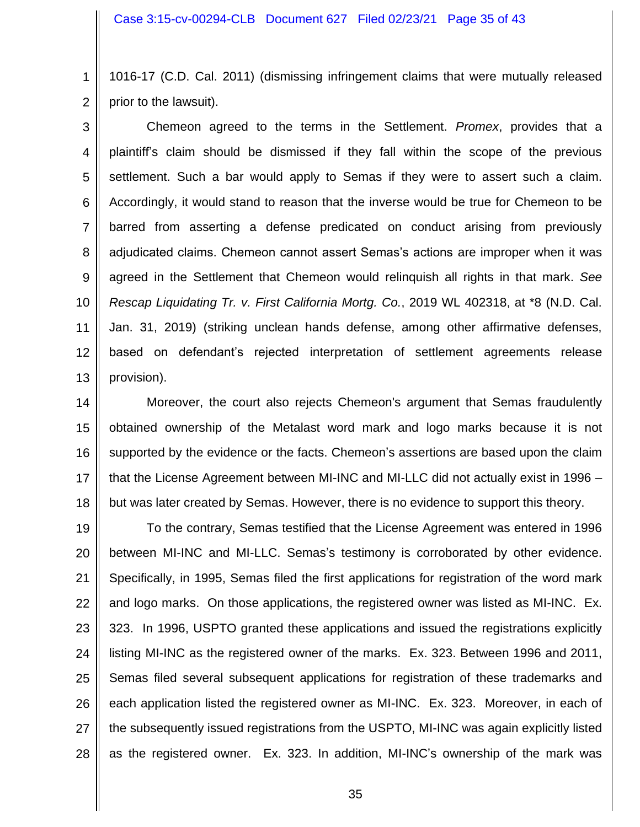1 2 1016-17 (C.D. Cal. 2011) (dismissing infringement claims that were mutually released prior to the lawsuit).

3 4 5 6 7 8 9 10 11 12 13 Chemeon agreed to the terms in the Settlement. *Promex*, provides that a plaintiff's claim should be dismissed if they fall within the scope of the previous settlement. Such a bar would apply to Semas if they were to assert such a claim. Accordingly, it would stand to reason that the inverse would be true for Chemeon to be barred from asserting a defense predicated on conduct arising from previously adjudicated claims. Chemeon cannot assert Semas's actions are improper when it was agreed in the Settlement that Chemeon would relinquish all rights in that mark. *See Rescap Liquidating Tr. v. First California Mortg. Co.*, 2019 WL 402318, at \*8 (N.D. Cal. Jan. 31, 2019) (striking unclean hands defense, among other affirmative defenses, based on defendant's rejected interpretation of settlement agreements release provision).

14 15 16 17 18 Moreover, the court also rejects Chemeon's argument that Semas fraudulently obtained ownership of the Metalast word mark and logo marks because it is not supported by the evidence or the facts. Chemeon's assertions are based upon the claim that the License Agreement between MI-INC and MI-LLC did not actually exist in 1996 – but was later created by Semas. However, there is no evidence to support this theory.

19 20 21 22 23 24 25 26 27 28 To the contrary, Semas testified that the License Agreement was entered in 1996 between MI-INC and MI-LLC. Semas's testimony is corroborated by other evidence. Specifically, in 1995, Semas filed the first applications for registration of the word mark and logo marks. On those applications, the registered owner was listed as MI-INC. Ex. 323. In 1996, USPTO granted these applications and issued the registrations explicitly listing MI-INC as the registered owner of the marks. Ex. 323. Between 1996 and 2011, Semas filed several subsequent applications for registration of these trademarks and each application listed the registered owner as MI-INC. Ex. 323. Moreover, in each of the subsequently issued registrations from the USPTO, MI-INC was again explicitly listed as the registered owner. Ex. 323. In addition, MI-INC's ownership of the mark was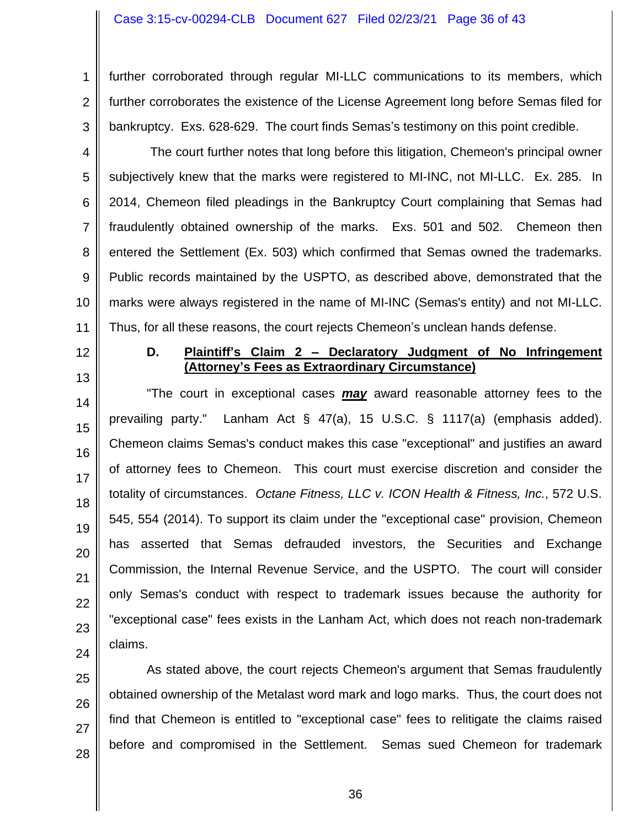1 2 3 further corroborated through regular MI-LLC communications to its members, which further corroborates the existence of the License Agreement long before Semas filed for bankruptcy. Exs. 628-629. The court finds Semas's testimony on this point credible.

- 4 5 6 7 8 9 10 11 The court further notes that long before this litigation, Chemeon's principal owner subjectively knew that the marks were registered to MI-INC, not MI-LLC. Ex. 285. In 2014, Chemeon filed pleadings in the Bankruptcy Court complaining that Semas had fraudulently obtained ownership of the marks. Exs. 501 and 502. Chemeon then entered the Settlement (Ex. 503) which confirmed that Semas owned the trademarks. Public records maintained by the USPTO, as described above, demonstrated that the marks were always registered in the name of MI-INC (Semas's entity) and not MI-LLC. Thus, for all these reasons, the court rejects Chemeon's unclean hands defense.
- 12

13

**D. Plaintiff's Claim 2 – Declaratory Judgment of No Infringement (Attorney's Fees as Extraordinary Circumstance)**

14 15 16 17 18 19 20 21 22 23 24 "The court in exceptional cases *may* award reasonable attorney fees to the prevailing party." Lanham Act § 47(a), 15 U.S.C. § 1117(a) (emphasis added). Chemeon claims Semas's conduct makes this case "exceptional" and justifies an award of attorney fees to Chemeon. This court must exercise discretion and consider the totality of circumstances. *Octane Fitness, LLC v. ICON Health & Fitness, Inc.*, 572 U.S. 545, 554 (2014). To support its claim under the "exceptional case" provision, Chemeon has asserted that Semas defrauded investors, the Securities and Exchange Commission, the Internal Revenue Service, and the USPTO. The court will consider only Semas's conduct with respect to trademark issues because the authority for "exceptional case" fees exists in the Lanham Act, which does not reach non-trademark claims.

25 26 27 28 As stated above, the court rejects Chemeon's argument that Semas fraudulently obtained ownership of the Metalast word mark and logo marks. Thus, the court does not find that Chemeon is entitled to "exceptional case" fees to relitigate the claims raised before and compromised in the Settlement. Semas sued Chemeon for trademark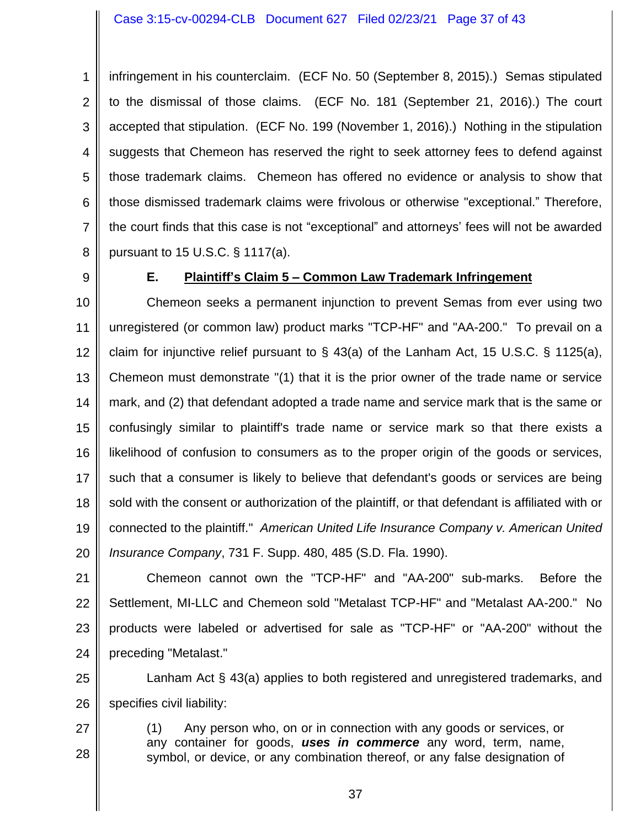1 2 3 4 5 6 7 8 infringement in his counterclaim. (ECF No. 50 (September 8, 2015).) Semas stipulated to the dismissal of those claims. (ECF No. 181 (September 21, 2016).) The court accepted that stipulation. (ECF No. 199 (November 1, 2016).) Nothing in the stipulation suggests that Chemeon has reserved the right to seek attorney fees to defend against those trademark claims. Chemeon has offered no evidence or analysis to show that those dismissed trademark claims were frivolous or otherwise "exceptional." Therefore, the court finds that this case is not "exceptional" and attorneys' fees will not be awarded pursuant to 15 U.S.C. § 1117(a).

9

# **E. Plaintiff's Claim 5 – Common Law Trademark Infringement**

10 11 12 13 14 15 16 17 18 19 20 Chemeon seeks a permanent injunction to prevent Semas from ever using two unregistered (or common law) product marks "TCP-HF" and "AA-200." To prevail on a claim for injunctive relief pursuant to  $\S$  43(a) of the Lanham Act, 15 U.S.C.  $\S$  1125(a), Chemeon must demonstrate "(1) that it is the prior owner of the trade name or service mark, and (2) that defendant adopted a trade name and service mark that is the same or confusingly similar to plaintiff's trade name or service mark so that there exists a likelihood of confusion to consumers as to the proper origin of the goods or services, such that a consumer is likely to believe that defendant's goods or services are being sold with the consent or authorization of the plaintiff, or that defendant is affiliated with or connected to the plaintiff." *American United Life Insurance Company v. American United Insurance Company*, 731 F. Supp. 480, 485 (S.D. Fla. 1990).

21 22 23 24 Chemeon cannot own the "TCP-HF" and "AA-200" sub-marks. Before the Settlement, MI-LLC and Chemeon sold "Metalast TCP-HF" and "Metalast AA-200." No products were labeled or advertised for sale as "TCP-HF" or "AA-200" without the preceding "Metalast."

25 26 Lanham Act § 43(a) applies to both registered and unregistered trademarks, and specifies civil liability:

27 28 (1) Any person who, on or in connection with any goods or services, or any container for goods, *uses in commerce* any word, term, name, symbol, or device, or any combination thereof, or any false designation of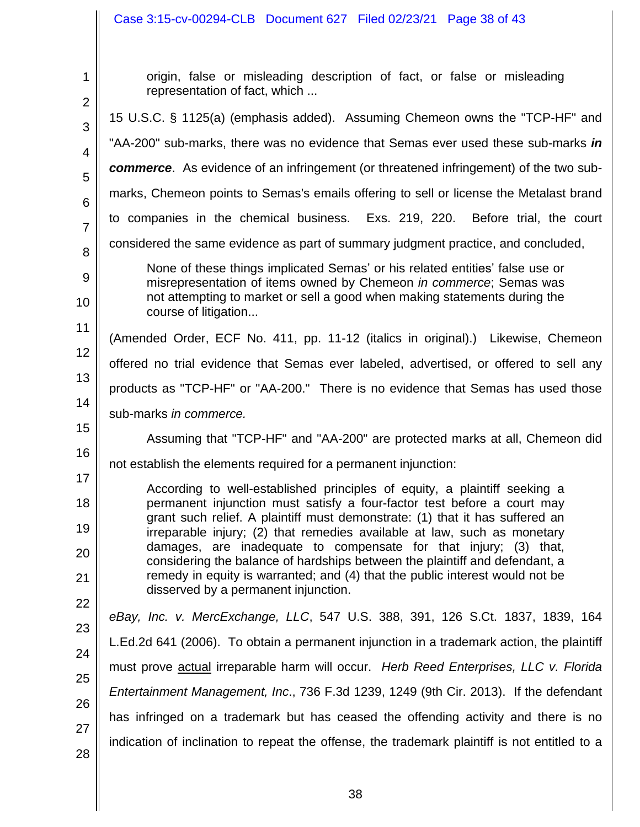#### Case 3:15-cv-00294-CLB Document 627 Filed 02/23/21 Page 38 of 43

1 2 3 4 5 6 7 8 9 10 11 12 13 14 15 16 17 18 19 20 21 22 23 24 25 26 27 28 origin, false or misleading description of fact, or false or misleading representation of fact, which ... 15 U.S.C. § 1125(a) (emphasis added). Assuming Chemeon owns the "TCP-HF" and "AA-200" sub-marks, there was no evidence that Semas ever used these sub-marks *in commerce*. As evidence of an infringement (or threatened infringement) of the two submarks, Chemeon points to Semas's emails offering to sell or license the Metalast brand to companies in the chemical business. Exs. 219, 220. Before trial, the court considered the same evidence as part of summary judgment practice, and concluded, None of these things implicated Semas' or his related entities' false use or misrepresentation of items owned by Chemeon *in commerce*; Semas was not attempting to market or sell a good when making statements during the course of litigation... (Amended Order, ECF No. 411, pp. 11-12 (italics in original).) Likewise, Chemeon offered no trial evidence that Semas ever labeled, advertised, or offered to sell any products as "TCP-HF" or "AA-200." There is no evidence that Semas has used those sub-marks *in commerce.* Assuming that "TCP-HF" and "AA-200" are protected marks at all, Chemeon did not establish the elements required for a permanent injunction: According to well-established principles of equity, a plaintiff seeking a permanent injunction must satisfy a four-factor test before a court may grant such relief. A plaintiff must demonstrate: (1) that it has suffered an irreparable injury; (2) that remedies available at law, such as monetary damages, are inadequate to compensate for that injury; (3) that, considering the balance of hardships between the plaintiff and defendant, a remedy in equity is warranted; and (4) that the public interest would not be disserved by a permanent injunction. *eBay, Inc. v. MercExchange, LLC*, 547 U.S. 388, 391, 126 S.Ct. 1837, 1839, 164 L.Ed.2d 641 (2006). To obtain a permanent injunction in a trademark action, the plaintiff must prove actual irreparable harm will occur. *Herb Reed Enterprises, LLC v. Florida Entertainment Management, Inc*., 736 F.3d 1239, 1249 (9th Cir. 2013). If the defendant has infringed on a trademark but has ceased the offending activity and there is no indication of inclination to repeat the offense, the trademark plaintiff is not entitled to a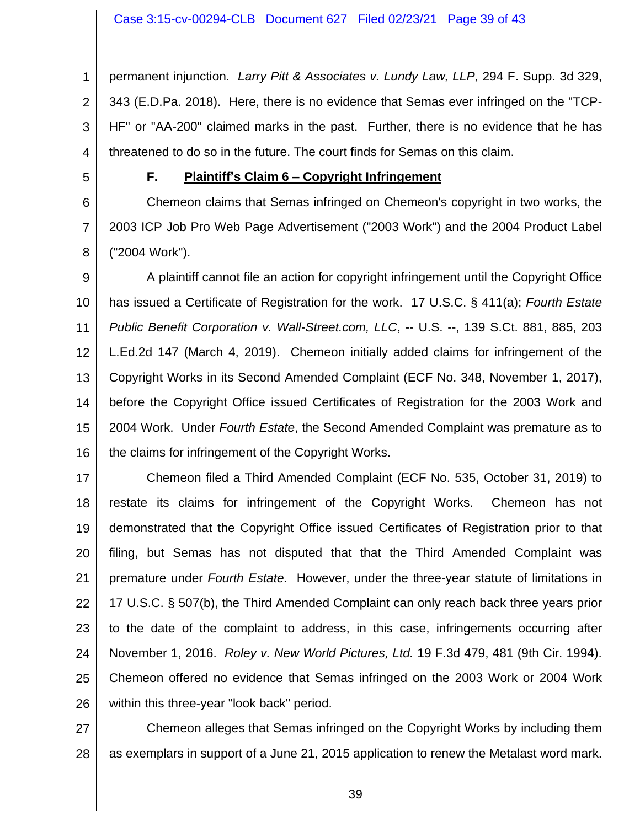1 2 3 4 permanent injunction. *Larry Pitt & Associates v. Lundy Law, LLP,* 294 F. Supp. 3d 329, 343 (E.D.Pa. 2018). Here, there is no evidence that Semas ever infringed on the "TCP-HF" or "AA-200" claimed marks in the past. Further, there is no evidence that he has threatened to do so in the future. The court finds for Semas on this claim.

5

6

7

8

## **F. Plaintiff's Claim 6 – Copyright Infringement**

Chemeon claims that Semas infringed on Chemeon's copyright in two works, the 2003 ICP Job Pro Web Page Advertisement ("2003 Work") and the 2004 Product Label ("2004 Work").

9 10 11 12 13 14 15 16 A plaintiff cannot file an action for copyright infringement until the Copyright Office has issued a Certificate of Registration for the work. 17 U.S.C. § 411(a); *Fourth Estate Public Benefit Corporation v. Wall-Street.com, LLC*, -- U.S. --, 139 S.Ct. 881, 885, 203 L.Ed.2d 147 (March 4, 2019). Chemeon initially added claims for infringement of the Copyright Works in its Second Amended Complaint (ECF No. 348, November 1, 2017), before the Copyright Office issued Certificates of Registration for the 2003 Work and 2004 Work. Under *Fourth Estate*, the Second Amended Complaint was premature as to the claims for infringement of the Copyright Works.

17 18 19 20 21 22 23 24 25 26 Chemeon filed a Third Amended Complaint (ECF No. 535, October 31, 2019) to restate its claims for infringement of the Copyright Works. Chemeon has not demonstrated that the Copyright Office issued Certificates of Registration prior to that filing, but Semas has not disputed that that the Third Amended Complaint was premature under *Fourth Estate.* However, under the three-year statute of limitations in 17 U.S.C. § 507(b), the Third Amended Complaint can only reach back three years prior to the date of the complaint to address, in this case, infringements occurring after November 1, 2016. *Roley v. New World Pictures, Ltd.* 19 F.3d 479, 481 (9th Cir. 1994). Chemeon offered no evidence that Semas infringed on the 2003 Work or 2004 Work within this three-year "look back" period.

27 28 Chemeon alleges that Semas infringed on the Copyright Works by including them as exemplars in support of a June 21, 2015 application to renew the Metalast word mark.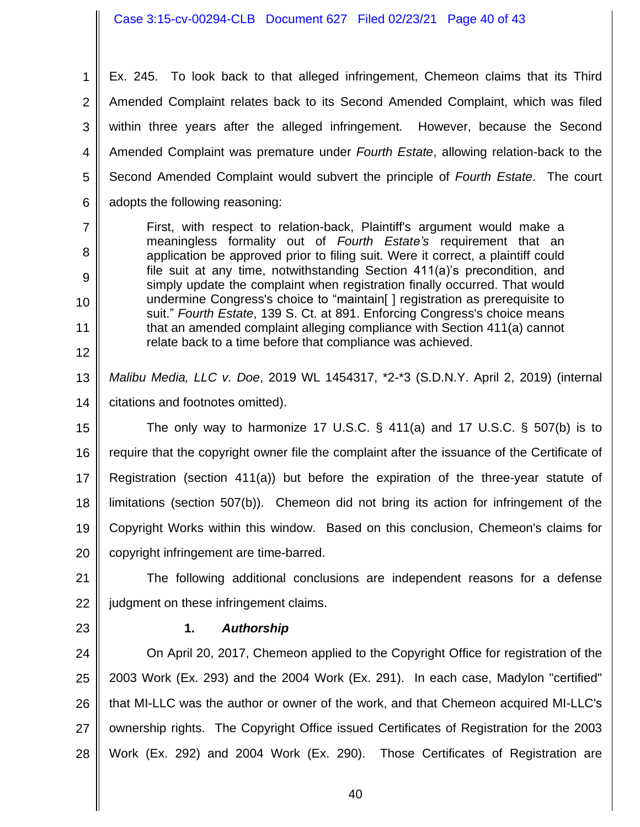Case 3:15-cv-00294-CLB Document 627 Filed 02/23/21 Page 40 of 43

1 2 3 4 5 6 Ex. 245. To look back to that alleged infringement, Chemeon claims that its Third Amended Complaint relates back to its Second Amended Complaint, which was filed within three years after the alleged infringement. However, because the Second Amended Complaint was premature under *Fourth Estate*, allowing relation-back to the Second Amended Complaint would subvert the principle of *Fourth Estate*. The court adopts the following reasoning:

- First, with respect to relation-back, Plaintiff's argument would make a meaningless formality out of *Fourth Estate's* requirement that an application be approved prior to filing suit. Were it correct, a plaintiff could file suit at any time, notwithstanding Section 411(a)'s precondition, and simply update the complaint when registration finally occurred. That would undermine Congress's choice to "maintain[ ] registration as prerequisite to suit." *Fourth Estate*, 139 S. Ct. at 891. Enforcing Congress's choice means that an amended complaint alleging compliance with Section 411(a) cannot relate back to a time before that compliance was achieved.
- 13 14 *Malibu Media, LLC v. Doe*, 2019 WL 1454317, \*2-\*3 (S.D.N.Y. April 2, 2019) (internal citations and footnotes omitted).

15 16 17 18 19 20 The only way to harmonize 17 U.S.C.  $\S$  411(a) and 17 U.S.C.  $\S$  507(b) is to require that the copyright owner file the complaint after the issuance of the Certificate of Registration (section 411(a)) but before the expiration of the three-year statute of limitations (section 507(b)). Chemeon did not bring its action for infringement of the Copyright Works within this window. Based on this conclusion, Chemeon's claims for copyright infringement are time-barred.

21 22 The following additional conclusions are independent reasons for a defense judgment on these infringement claims.

23

7

8

9

10

11

12

# **1.** *Authorship*

24 25 26 27 28 On April 20, 2017, Chemeon applied to the Copyright Office for registration of the 2003 Work (Ex. 293) and the 2004 Work (Ex. 291). In each case, Madylon "certified" that MI-LLC was the author or owner of the work, and that Chemeon acquired MI-LLC's ownership rights. The Copyright Office issued Certificates of Registration for the 2003 Work (Ex. 292) and 2004 Work (Ex. 290). Those Certificates of Registration are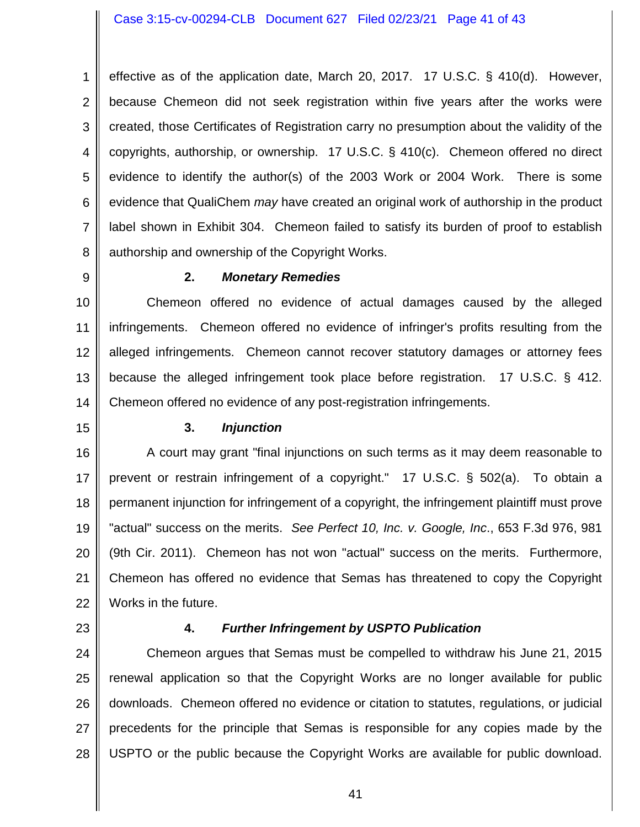1 2 3 4 5 6 7 8 effective as of the application date, March 20, 2017. 17 U.S.C. § 410(d). However, because Chemeon did not seek registration within five years after the works were created, those Certificates of Registration carry no presumption about the validity of the copyrights, authorship, or ownership. 17 U.S.C. § 410(c). Chemeon offered no direct evidence to identify the author(s) of the 2003 Work or 2004 Work. There is some evidence that QualiChem *may* have created an original work of authorship in the product label shown in Exhibit 304. Chemeon failed to satisfy its burden of proof to establish authorship and ownership of the Copyright Works.

9

### **2.** *Monetary Remedies*

10 11 12 13 14 Chemeon offered no evidence of actual damages caused by the alleged infringements. Chemeon offered no evidence of infringer's profits resulting from the alleged infringements. Chemeon cannot recover statutory damages or attorney fees because the alleged infringement took place before registration. 17 U.S.C. § 412. Chemeon offered no evidence of any post-registration infringements.

15

### **3.** *Injunction*

16 17 18 19 20 21 22 A court may grant "final injunctions on such terms as it may deem reasonable to prevent or restrain infringement of a copyright." 17 U.S.C. § 502(a). To obtain a permanent injunction for infringement of a copyright, the infringement plaintiff must prove "actual" success on the merits. *See Perfect 10, Inc. v. Google, Inc*., 653 F.3d 976, 981 (9th Cir. 2011). Chemeon has not won "actual" success on the merits. Furthermore, Chemeon has offered no evidence that Semas has threatened to copy the Copyright Works in the future.

23

### **4.** *Further Infringement by USPTO Publication*

24 25 26 27 28 Chemeon argues that Semas must be compelled to withdraw his June 21, 2015 renewal application so that the Copyright Works are no longer available for public downloads. Chemeon offered no evidence or citation to statutes, regulations, or judicial precedents for the principle that Semas is responsible for any copies made by the USPTO or the public because the Copyright Works are available for public download.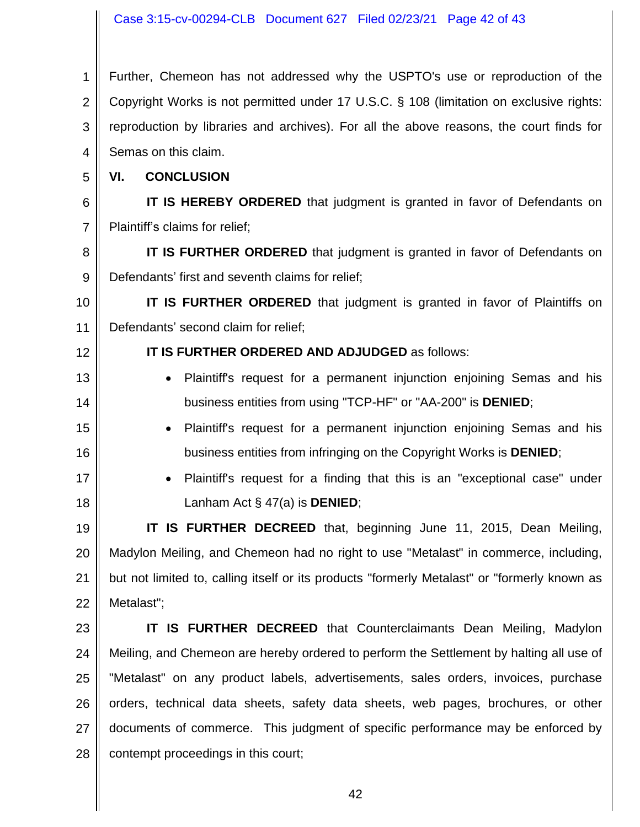1 2 3 4 Further, Chemeon has not addressed why the USPTO's use or reproduction of the Copyright Works is not permitted under 17 U.S.C. § 108 (limitation on exclusive rights: reproduction by libraries and archives). For all the above reasons, the court finds for Semas on this claim.

5 **VI. CONCLUSION**

6 7 **IT IS HEREBY ORDERED** that judgment is granted in favor of Defendants on Plaintiff's claims for relief;

8 9 **IT IS FURTHER ORDERED** that judgment is granted in favor of Defendants on Defendants' first and seventh claims for relief;

10 11 **IT IS FURTHER ORDERED** that judgment is granted in favor of Plaintiffs on Defendants' second claim for relief;

12

13

14

15

16

17

18

- **IT IS FURTHER ORDERED AND ADJUDGED** as follows:
	- Plaintiff's request for a permanent injunction enjoining Semas and his business entities from using "TCP-HF" or "AA-200" is **DENIED**;
- Plaintiff's request for a permanent injunction enjoining Semas and his business entities from infringing on the Copyright Works is **DENIED**;
- Plaintiff's request for a finding that this is an "exceptional case" under Lanham Act § 47(a) is **DENIED**;

19 20 21 22 **IT IS FURTHER DECREED** that, beginning June 11, 2015, Dean Meiling, Madylon Meiling, and Chemeon had no right to use "Metalast" in commerce, including, but not limited to, calling itself or its products "formerly Metalast" or "formerly known as Metalast";

23 24 25 26 27 28 **IT IS FURTHER DECREED** that Counterclaimants Dean Meiling, Madylon Meiling, and Chemeon are hereby ordered to perform the Settlement by halting all use of "Metalast" on any product labels, advertisements, sales orders, invoices, purchase orders, technical data sheets, safety data sheets, web pages, brochures, or other documents of commerce. This judgment of specific performance may be enforced by contempt proceedings in this court;